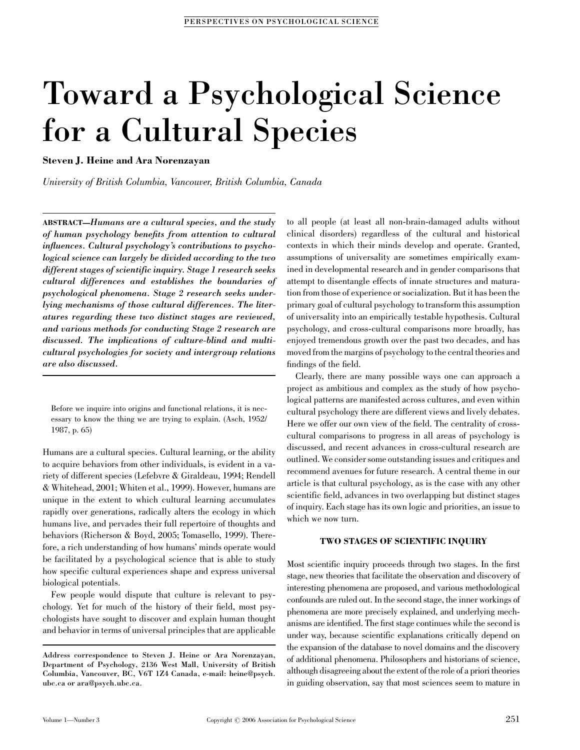# Toward a Psychological Science for a Cultural Species

Steven J. Heine and Ara Norenzayan

University of British Columbia, Vancouver, British Columbia, Canada

ABSTRACT—Humans are a cultural species, and the study of human psychology benefits from attention to cultural influences. Cultural psychology's contributions to psychological science can largely be divided according to the two different stages of scientific inquiry. Stage 1 research seeks cultural differences and establishes the boundaries of psychological phenomena. Stage 2 research seeks underlying mechanisms of those cultural differences. The literatures regarding these two distinct stages are reviewed, and various methods for conducting Stage 2 research are discussed. The implications of culture-blind and multicultural psychologies for society and intergroup relations are also discussed.

Humans are a cultural species. Cultural learning, or the ability to acquire behaviors from other individuals, is evident in a variety of different species (Lefebvre & Giraldeau, 1994; Rendell & Whitehead, 2001; Whiten et al., 1999). However, humans are unique in the extent to which cultural learning accumulates rapidly over generations, radically alters the ecology in which humans live, and pervades their full repertoire of thoughts and behaviors (Richerson & Boyd, 2005; Tomasello, 1999). Therefore, a rich understanding of how humans' minds operate would be facilitated by a psychological science that is able to study how specific cultural experiences shape and express universal biological potentials.

Few people would dispute that culture is relevant to psychology. Yet for much of the history of their field, most psychologists have sought to discover and explain human thought and behavior in terms of universal principles that are applicable

to all people (at least all non-brain-damaged adults without clinical disorders) regardless of the cultural and historical contexts in which their minds develop and operate. Granted, assumptions of universality are sometimes empirically examined in developmental research and in gender comparisons that attempt to disentangle effects of innate structures and maturation from those of experience or socialization. But it has been the primary goal of cultural psychology to transform this assumption of universality into an empirically testable hypothesis. Cultural psychology, and cross-cultural comparisons more broadly, has enjoyed tremendous growth over the past two decades, and has moved from the margins of psychology to the central theories and findings of the field.

Clearly, there are many possible ways one can approach a project as ambitious and complex as the study of how psychological patterns are manifested across cultures, and even within cultural psychology there are different views and lively debates. Here we offer our own view of the field. The centrality of crosscultural comparisons to progress in all areas of psychology is discussed, and recent advances in cross-cultural research are outlined. We consider some outstanding issues and critiques and recommend avenues for future research. A central theme in our article is that cultural psychology, as is the case with any other scientific field, advances in two overlapping but distinct stages of inquiry. Each stage has its own logic and priorities, an issue to which we now turn.

# TWO STAGES OF SCIENTIFIC INQUIRY

Most scientific inquiry proceeds through two stages. In the first stage, new theories that facilitate the observation and discovery of interesting phenomena are proposed, and various methodological confounds are ruled out. In the second stage, the inner workings of phenomena are more precisely explained, and underlying mechanisms are identified. The first stage continues while the second is under way, because scientific explanations critically depend on the expansion of the database to novel domains and the discovery of additional phenomena. Philosophers and historians of science, although disagreeing about the extent of the role of a priori theories in guiding observation, say that most sciences seem to mature in

Before we inquire into origins and functional relations, it is necessary to know the thing we are trying to explain. (Asch, 1952/ 1987, p. 65)

Address correspondence to Steven J. Heine or Ara Norenzayan, Department of Psychology, 2136 West Mall, University of British Columbia, Vancouver, BC, V6T 1Z4 Canada, e-mail: heine@psych. ubc.ca or ara@psych.ubc.ca.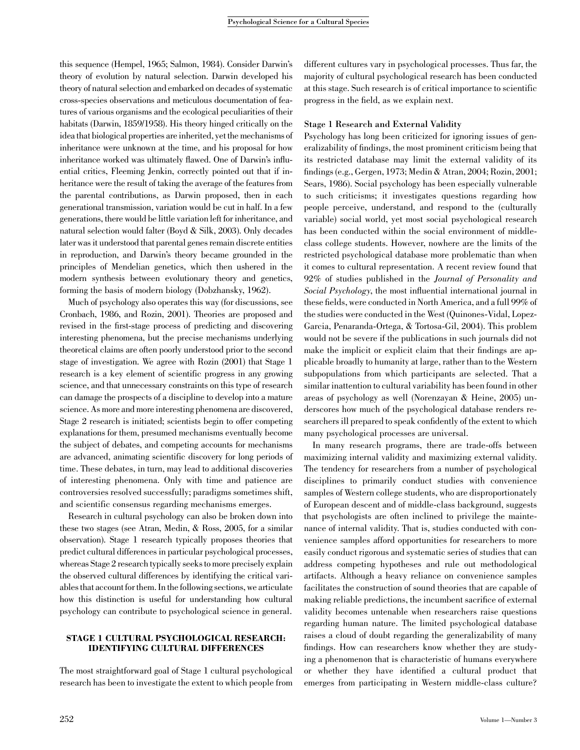this sequence (Hempel, 1965; Salmon, 1984). Consider Darwin's theory of evolution by natural selection. Darwin developed his theory of natural selection and embarked on decades of systematic cross-species observations and meticulous documentation of features of various organisms and the ecological peculiarities of their habitats (Darwin, 1859/1958). His theory hinged critically on the idea that biological properties are inherited, yet the mechanisms of inheritance were unknown at the time, and his proposal for how inheritance worked was ultimately flawed. One of Darwin's influential critics, Fleeming Jenkin, correctly pointed out that if inheritance were the result of taking the average of the features from the parental contributions, as Darwin proposed, then in each generational transmission, variation would be cut in half. In a few generations, there would be little variation left for inheritance, and natural selection would falter (Boyd & Silk, 2003). Only decades later was it understood that parental genes remain discrete entities in reproduction, and Darwin's theory became grounded in the principles of Mendelian genetics, which then ushered in the modern synthesis between evolutionary theory and genetics, forming the basis of modern biology (Dobzhansky, 1962).

Much of psychology also operates this way (for discussions, see Cronbach, 1986, and Rozin, 2001). Theories are proposed and revised in the first-stage process of predicting and discovering interesting phenomena, but the precise mechanisms underlying theoretical claims are often poorly understood prior to the second stage of investigation. We agree with Rozin (2001) that Stage 1 research is a key element of scientific progress in any growing science, and that unnecessary constraints on this type of research can damage the prospects of a discipline to develop into a mature science. As more and more interesting phenomena are discovered, Stage 2 research is initiated; scientists begin to offer competing explanations for them, presumed mechanisms eventually become the subject of debates, and competing accounts for mechanisms are advanced, animating scientific discovery for long periods of time. These debates, in turn, may lead to additional discoveries of interesting phenomena. Only with time and patience are controversies resolved successfully; paradigms sometimes shift, and scientific consensus regarding mechanisms emerges.

Research in cultural psychology can also be broken down into these two stages (see Atran, Medin, & Ross, 2005, for a similar observation). Stage 1 research typically proposes theories that predict cultural differences in particular psychological processes, whereas Stage 2 research typically seeks to more precisely explain the observed cultural differences by identifying the critical variables that account for them. In the following sections, we articulate how this distinction is useful for understanding how cultural psychology can contribute to psychological science in general.

## STAGE 1 CULTURAL PSYCHOLOGICAL RESEARCH: IDENTIFYING CULTURAL DIFFERENCES

The most straightforward goal of Stage 1 cultural psychological research has been to investigate the extent to which people from

different cultures vary in psychological processes. Thus far, the majority of cultural psychological research has been conducted at this stage. Such research is of critical importance to scientific progress in the field, as we explain next.

#### Stage 1 Research and External Validity

Psychology has long been criticized for ignoring issues of generalizability of findings, the most prominent criticism being that its restricted database may limit the external validity of its findings (e.g., Gergen, 1973; Medin & Atran, 2004; Rozin, 2001; Sears, 1986). Social psychology has been especially vulnerable to such criticisms; it investigates questions regarding how people perceive, understand, and respond to the (culturally variable) social world, yet most social psychological research has been conducted within the social environment of middleclass college students. However, nowhere are the limits of the restricted psychological database more problematic than when it comes to cultural representation. A recent review found that 92% of studies published in the Journal of Personality and Social Psychology, the most influential international journal in these fields, were conducted in North America, and a full 99% of the studies were conducted in the West (Quinones-Vidal, Lopez-Garcia, Penaranda-Ortega, & Tortosa-Gil, 2004). This problem would not be severe if the publications in such journals did not make the implicit or explicit claim that their findings are applicable broadly to humanity at large, rather than to the Western subpopulations from which participants are selected. That a similar inattention to cultural variability has been found in other areas of psychology as well (Norenzayan & Heine, 2005) underscores how much of the psychological database renders researchers ill prepared to speak confidently of the extent to which many psychological processes are universal.

In many research programs, there are trade-offs between maximizing internal validity and maximizing external validity. The tendency for researchers from a number of psychological disciplines to primarily conduct studies with convenience samples of Western college students, who are disproportionately of European descent and of middle-class background, suggests that psychologists are often inclined to privilege the maintenance of internal validity. That is, studies conducted with convenience samples afford opportunities for researchers to more easily conduct rigorous and systematic series of studies that can address competing hypotheses and rule out methodological artifacts. Although a heavy reliance on convenience samples facilitates the construction of sound theories that are capable of making reliable predictions, the incumbent sacrifice of external validity becomes untenable when researchers raise questions regarding human nature. The limited psychological database raises a cloud of doubt regarding the generalizability of many findings. How can researchers know whether they are studying a phenomenon that is characteristic of humans everywhere or whether they have identified a cultural product that emerges from participating in Western middle-class culture?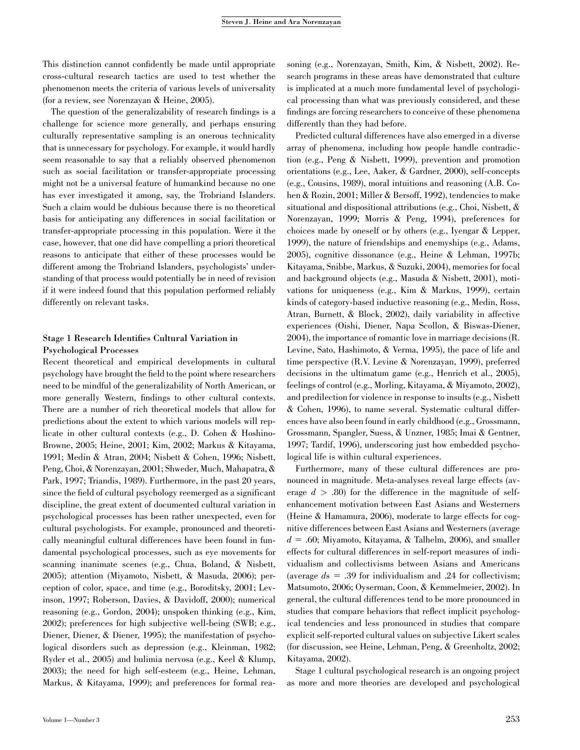This distinction cannot confidently be made until appropriate cross-cultural research tactics are used to test whether the phenomenon meets the criteria of various levels of universality (for a review, see Norenzayan & Heine, 2005).

The question of the generalizability of research findings is a challenge for science more generally, and perhaps ensuring culturally representative sampling is an onerous technicality that is unnecessary for psychology. For example, it would hardly seem reasonable to say that a reliably observed phenomenon such as social facilitation or transfer-appropriate processing might not be a universal feature of humankind because no one has ever investigated it among, say, the Trobriand Islanders. Such a claim would be dubious because there is no theoretical basis for anticipating any differences in social facilitation or transfer-appropriate processing in this population. Were it the case, however, that one did have compelling a priori theoretical reasons to anticipate that either of these processes would be different among the Trobriand Islanders, psychologists' understanding of that process would potentially be in need of revision if it were indeed found that this population performed reliably differently on relevant tasks.

# Stage 1 Research Identifies Cultural Variation in Psychological Processes

Recent theoretical and empirical developments in cultural psychology have brought the field to the point where researchers need to be mindful of the generalizability of North American, or more generally Western, findings to other cultural contexts. There are a number of rich theoretical models that allow for predictions about the extent to which various models will replicate in other cultural contexts (e.g., D. Cohen & Hoshino-Browne, 2005; Heine, 2001; Kim, 2002; Markus & Kitayama, 1991; Medin & Atran, 2004; Nisbett & Cohen, 1996; Nisbett, Peng, Choi, & Norenzayan, 2001; Shweder, Much, Mahapatra, & Park, 1997; Triandis, 1989). Furthermore, in the past 20 years, since the field of cultural psychology reemerged as a significant discipline, the great extent of documented cultural variation in psychological processes has been rather unexpected, even for cultural psychologists. For example, pronounced and theoretically meaningful cultural differences have been found in fundamental psychological processes, such as eye movements for scanning inanimate scenes (e.g., Chua, Boland, & Nisbett, 2005); attention (Miyamoto, Nisbett, & Masuda, 2006); perception of color, space, and time (e.g., Boroditsky, 2001; Levinson, 1997; Roberson, Davies, & Davidoff, 2000); numerical reasoning (e.g., Gordon, 2004); unspoken thinking (e.g., Kim, 2002); preferences for high subjective well-being (SWB; e.g., Diener, Diener, & Diener, 1995); the manifestation of psychological disorders such as depression (e.g., Kleinman, 1982; Ryder et al., 2005) and bulimia nervosa (e.g., Keel & Klump, 2003); the need for high self-esteem (e.g., Heine, Lehman, Markus, & Kitayama, 1999); and preferences for formal rea-

soning (e.g., Norenzayan, Smith, Kim, & Nisbett, 2002). Research programs in these areas have demonstrated that culture is implicated at a much more fundamental level of psychological processing than what was previously considered, and these findings are forcing researchers to conceive of these phenomena differently than they had before.

Predicted cultural differences have also emerged in a diverse array of phenomena, including how people handle contradiction (e.g., Peng & Nisbett, 1999), prevention and promotion orientations (e.g., Lee, Aaker, & Gardner, 2000), self-concepts (e.g., Cousins, 1989), moral intuitions and reasoning (A.B. Cohen & Rozin, 2001; Miller & Bersoff, 1992), tendencies to make situational and dispositional attributions (e.g., Choi, Nisbett, & Norenzayan, 1999; Morris & Peng, 1994), preferences for choices made by oneself or by others (e.g., Iyengar & Lepper, 1999), the nature of friendships and enemyships (e.g., Adams, 2005), cognitive dissonance (e.g., Heine & Lehman, 1997b; Kitayama, Snibbe, Markus, & Suzuki, 2004), memories for focal and background objects (e.g., Masuda & Nisbett, 2001), motivations for uniqueness (e.g., Kim & Markus, 1999), certain kinds of category-based inductive reasoning (e.g., Medin, Ross, Atran, Burnett, & Block, 2002), daily variability in affective experiences (Oishi, Diener, Napa Scollon, & Biswas-Diener, 2004), the importance of romantic love in marriage decisions (R. Levine, Sato, Hashimoto, & Verma, 1995), the pace of life and time perspective (R.V. Levine & Norenzayan, 1999), preferred decisions in the ultimatum game (e.g., Henrich et al., 2005), feelings of control (e.g., Morling, Kitayama, & Miyamoto, 2002), and predilection for violence in response to insults (e.g., Nisbett & Cohen, 1996), to name several. Systematic cultural differences have also been found in early childhood (e.g., Grossmann, Grossmann, Spangler, Suess, & Unzner, 1985; Imai & Gentner, 1997; Tardif, 1996), underscoring just how embedded psychological life is within cultural experiences.

Furthermore, many of these cultural differences are pronounced in magnitude. Meta-analyses reveal large effects (average  $d > .80$  for the difference in the magnitude of selfenhancement motivation between East Asians and Westerners (Heine & Hamamura, 2006), moderate to large effects for cognitive differences between East Asians and Westerners (average  $d = .60$ ; Miyamoto, Kitayama, & Talhelm, 2006), and smaller effects for cultural differences in self-report measures of individualism and collectivisms between Asians and Americans (average  $ds = .39$  for individualism and .24 for collectivism; Matsumoto, 2006; Oyserman, Coon, & Kemmelmeier, 2002). In general, the cultural differences tend to be more pronounced in studies that compare behaviors that reflect implicit psychological tendencies and less pronounced in studies that compare explicit self-reported cultural values on subjective Likert scales (for discussion, see Heine, Lehman, Peng, & Greenholtz, 2002; Kitayama, 2002).

Stage 1 cultural psychological research is an ongoing project as more and more theories are developed and psychological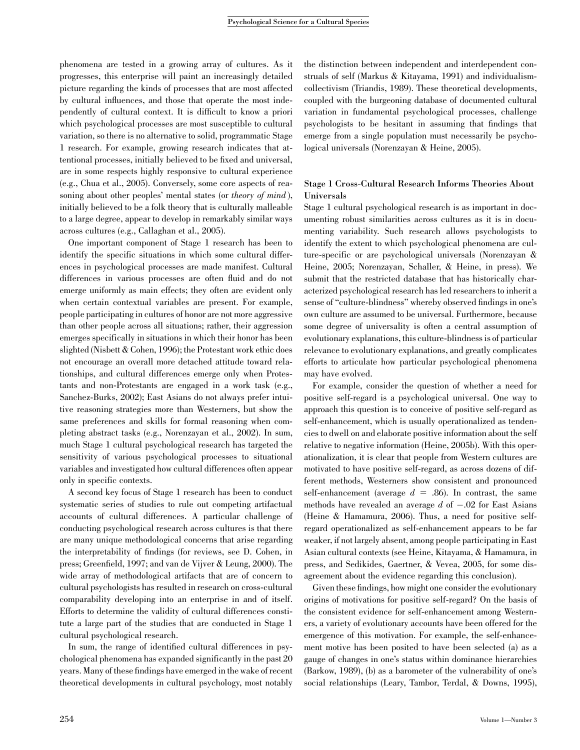phenomena are tested in a growing array of cultures. As it progresses, this enterprise will paint an increasingly detailed picture regarding the kinds of processes that are most affected by cultural influences, and those that operate the most independently of cultural context. It is difficult to know a priori which psychological processes are most susceptible to cultural variation, so there is no alternative to solid, programmatic Stage 1 research. For example, growing research indicates that attentional processes, initially believed to be fixed and universal, are in some respects highly responsive to cultural experience (e.g., Chua et al., 2005). Conversely, some core aspects of reasoning about other peoples' mental states (or theory of mind), initially believed to be a folk theory that is culturally malleable to a large degree, appear to develop in remarkably similar ways across cultures (e.g., Callaghan et al., 2005).

One important component of Stage 1 research has been to identify the specific situations in which some cultural differences in psychological processes are made manifest. Cultural differences in various processes are often fluid and do not emerge uniformly as main effects; they often are evident only when certain contextual variables are present. For example, people participating in cultures of honor are not more aggressive than other people across all situations; rather, their aggression emerges specifically in situations in which their honor has been slighted (Nisbett & Cohen, 1996); the Protestant work ethic does not encourage an overall more detached attitude toward relationships, and cultural differences emerge only when Protestants and non-Protestants are engaged in a work task (e.g., Sanchez-Burks, 2002); East Asians do not always prefer intuitive reasoning strategies more than Westerners, but show the same preferences and skills for formal reasoning when completing abstract tasks (e.g., Norenzayan et al., 2002). In sum, much Stage 1 cultural psychological research has targeted the sensitivity of various psychological processes to situational variables and investigated how cultural differences often appear only in specific contexts.

A second key focus of Stage 1 research has been to conduct systematic series of studies to rule out competing artifactual accounts of cultural differences. A particular challenge of conducting psychological research across cultures is that there are many unique methodological concerns that arise regarding the interpretability of findings (for reviews, see D. Cohen, in press; Greenfield, 1997; and van de Vijver & Leung, 2000). The wide array of methodological artifacts that are of concern to cultural psychologists has resulted in research on cross-cultural comparability developing into an enterprise in and of itself. Efforts to determine the validity of cultural differences constitute a large part of the studies that are conducted in Stage 1 cultural psychological research.

In sum, the range of identified cultural differences in psychological phenomena has expanded significantly in the past 20 years. Many of these findings have emerged in the wake of recent theoretical developments in cultural psychology, most notably

the distinction between independent and interdependent construals of self (Markus & Kitayama, 1991) and individualismcollectivism (Triandis, 1989). These theoretical developments, coupled with the burgeoning database of documented cultural variation in fundamental psychological processes, challenge psychologists to be hesitant in assuming that findings that emerge from a single population must necessarily be psychological universals (Norenzayan & Heine, 2005).

# Stage 1 Cross-Cultural Research Informs Theories About Universals

Stage 1 cultural psychological research is as important in documenting robust similarities across cultures as it is in documenting variability. Such research allows psychologists to identify the extent to which psychological phenomena are culture-specific or are psychological universals (Norenzayan & Heine, 2005; Norenzayan, Schaller, & Heine, in press). We submit that the restricted database that has historically characterized psychological research has led researchers to inherit a sense of ''culture-blindness'' whereby observed findings in one's own culture are assumed to be universal. Furthermore, because some degree of universality is often a central assumption of evolutionary explanations, this culture-blindness is of particular relevance to evolutionary explanations, and greatly complicates efforts to articulate how particular psychological phenomena may have evolved.

For example, consider the question of whether a need for positive self-regard is a psychological universal. One way to approach this question is to conceive of positive self-regard as self-enhancement, which is usually operationalized as tendencies to dwell on and elaborate positive information about the self relative to negative information (Heine, 2005b). With this operationalization, it is clear that people from Western cultures are motivated to have positive self-regard, as across dozens of different methods, Westerners show consistent and pronounced self-enhancement (average  $d = .86$ ). In contrast, the same methods have revealed an average  $d$  of  $-.02$  for East Asians (Heine & Hamamura, 2006). Thus, a need for positive selfregard operationalized as self-enhancement appears to be far weaker, if not largely absent, among people participating in East Asian cultural contexts (see Heine, Kitayama, & Hamamura, in press, and Sedikides, Gaertner, & Vevea, 2005, for some disagreement about the evidence regarding this conclusion).

Given these findings, how might one consider the evolutionary origins of motivations for positive self-regard? On the basis of the consistent evidence for self-enhancement among Westerners, a variety of evolutionary accounts have been offered for the emergence of this motivation. For example, the self-enhancement motive has been posited to have been selected (a) as a gauge of changes in one's status within dominance hierarchies (Barkow, 1989), (b) as a barometer of the vulnerability of one's social relationships (Leary, Tambor, Terdal, & Downs, 1995),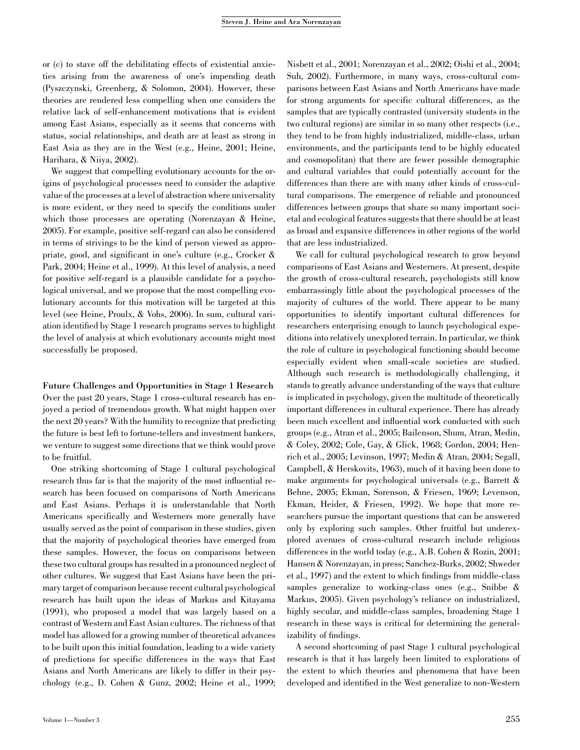or (c) to stave off the debilitating effects of existential anxieties arising from the awareness of one's impending death (Pyszczynski, Greenberg, & Solomon, 2004). However, these theories are rendered less compelling when one considers the relative lack of self-enhancement motivations that is evident among East Asians, especially as it seems that concerns with status, social relationships, and death are at least as strong in East Asia as they are in the West (e.g., Heine, 2001; Heine, Harihara, & Niiya, 2002).

We suggest that compelling evolutionary accounts for the origins of psychological processes need to consider the adaptive value of the processes at a level of abstraction where universality is more evident, or they need to specify the conditions under which those processes are operating (Norenzayan & Heine, 2005). For example, positive self-regard can also be considered in terms of strivings to be the kind of person viewed as appropriate, good, and significant in one's culture (e.g., Crocker & Park, 2004; Heine et al., 1999). At this level of analysis, a need for positive self-regard is a plausible candidate for a psychological universal, and we propose that the most compelling evolutionary accounts for this motivation will be targeted at this level (see Heine, Proulx, & Vohs, 2006). In sum, cultural variation identified by Stage 1 research programs serves to highlight the level of analysis at which evolutionary accounts might most successfully be proposed.

Future Challenges and Opportunities in Stage 1 Research Over the past 20 years, Stage 1 cross-cultural research has enjoyed a period of tremendous growth. What might happen over the next 20 years? With the humility to recognize that predicting the future is best left to fortune-tellers and investment bankers, we venture to suggest some directions that we think would prove to be fruitful.

One striking shortcoming of Stage 1 cultural psychological research thus far is that the majority of the most influential research has been focused on comparisons of North Americans and East Asians. Perhaps it is understandable that North Americans specifically and Westerners more generally have usually served as the point of comparison in these studies, given that the majority of psychological theories have emerged from these samples. However, the focus on comparisons between these two cultural groups has resulted in a pronounced neglect of other cultures. We suggest that East Asians have been the primary target of comparison because recent cultural psychological research has built upon the ideas of Markus and Kitayama (1991), who proposed a model that was largely based on a contrast of Western and East Asian cultures. The richness of that model has allowed for a growing number of theoretical advances to be built upon this initial foundation, leading to a wide variety of predictions for specific differences in the ways that East Asians and North Americans are likely to differ in their psychology (e.g., D. Cohen & Gunz, 2002; Heine et al., 1999;

Nisbett et al., 2001; Norenzayan et al., 2002; Oishi et al., 2004; Suh, 2002). Furthermore, in many ways, cross-cultural comparisons between East Asians and North Americans have made for strong arguments for specific cultural differences, as the samples that are typically contrasted (university students in the two cultural regions) are similar in so many other respects (i.e., they tend to be from highly industrialized, middle-class, urban environments, and the participants tend to be highly educated and cosmopolitan) that there are fewer possible demographic and cultural variables that could potentially account for the differences than there are with many other kinds of cross-cultural comparisons. The emergence of reliable and pronounced differences between groups that share so many important societal and ecological features suggests that there should be at least as broad and expansive differences in other regions of the world that are less industrialized.

We call for cultural psychological research to grow beyond comparisons of East Asians and Westerners. At present, despite the growth of cross-cultural research, psychologists still know embarrassingly little about the psychological processes of the majority of cultures of the world. There appear to be many opportunities to identify important cultural differences for researchers enterprising enough to launch psychological expeditions into relatively unexplored terrain. In particular, we think the role of culture in psychological functioning should become especially evident when small-scale societies are studied. Although such research is methodologically challenging, it stands to greatly advance understanding of the ways that culture is implicated in psychology, given the multitude of theoretically important differences in cultural experience. There has already been much excellent and influential work conducted with such groups (e.g., Atran et al., 2005; Bailenson, Shum, Atran, Medin, & Coley, 2002; Cole, Gay, & Glick, 1968; Gordon, 2004; Henrich et al., 2005; Levinson, 1997; Medin & Atran, 2004; Segall, Campbell, & Herskovits, 1963), much of it having been done to make arguments for psychological universals (e.g., Barrett & Behne, 2005; Ekman, Sorenson, & Friesen, 1969; Levenson, Ekman, Heider, & Friesen, 1992). We hope that more researchers pursue the important questions that can be answered only by exploring such samples. Other fruitful but underexplored avenues of cross-cultural research include religious differences in the world today (e.g., A.B. Cohen & Rozin, 2001; Hansen & Norenzayan, in press; Sanchez-Burks, 2002; Shweder et al., 1997) and the extent to which findings from middle-class samples generalize to working-class ones (e.g., Snibbe & Markus, 2005). Given psychology's reliance on industrialized, highly secular, and middle-class samples, broadening Stage 1 research in these ways is critical for determining the generalizability of findings.

A second shortcoming of past Stage 1 cultural psychological research is that it has largely been limited to explorations of the extent to which theories and phenomena that have been developed and identified in the West generalize to non-Western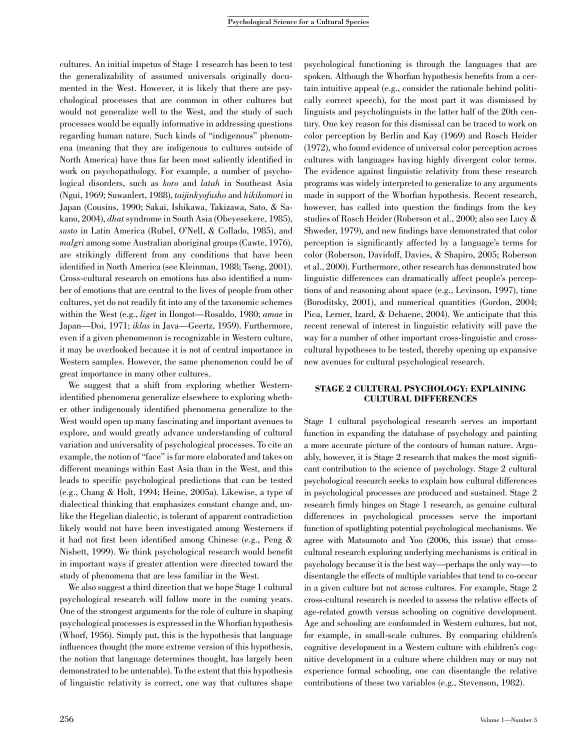cultures. An initial impetus of Stage 1 research has been to test the generalizability of assumed universals originally documented in the West. However, it is likely that there are psychological processes that are common in other cultures but would not generalize well to the West, and the study of such processes would be equally informative in addressing questions regarding human nature. Such kinds of ''indigenous'' phenomena (meaning that they are indigenous to cultures outside of North America) have thus far been most saliently identified in work on psychopathology. For example, a number of psychological disorders, such as koro and latah in Southeast Asia (Ngui, 1969; Suwanlert, 1988), taijinkyofusho and hikikomori in Japan (Cousins, 1990; Sakai, Ishikawa, Takizawa, Sato, & Sakano, 2004), dhat syndrome in South Asia (Obeyesekere, 1985), susto in Latin America (Rubel, O'Nell, & Collado, 1985), and malgri among some Australian aboriginal groups (Cawte, 1976), are strikingly different from any conditions that have been identified in North America (see Kleinman, 1988; Tseng, 2001). Cross-cultural research on emotions has also identified a number of emotions that are central to the lives of people from other cultures, yet do not readily fit into any of the taxonomic schemes within the West (e.g., *liget* in Ilongot—Rosaldo, 1980; amae in Japan—Doi, 1971; iklas in Java—Geertz, 1959). Furthermore, even if a given phenomenon is recognizable in Western culture, it may be overlooked because it is not of central importance in Western samples. However, the same phenomenon could be of great importance in many other cultures.

We suggest that a shift from exploring whether Westernidentified phenomena generalize elsewhere to exploring whether other indigenously identified phenomena generalize to the West would open up many fascinating and important avenues to explore, and would greatly advance understanding of cultural variation and universality of psychological processes. To cite an example, the notion of ''face'' is far more elaborated and takes on different meanings within East Asia than in the West, and this leads to specific psychological predictions that can be tested (e.g., Chang & Holt, 1994; Heine, 2005a). Likewise, a type of dialectical thinking that emphasizes constant change and, unlike the Hegelian dialectic, is tolerant of apparent contradiction likely would not have been investigated among Westerners if it had not first been identified among Chinese (e.g., Peng & Nisbett, 1999). We think psychological research would benefit in important ways if greater attention were directed toward the study of phenomena that are less familiar in the West.

We also suggest a third direction that we hope Stage 1 cultural psychological research will follow more in the coming years. One of the strongest arguments for the role of culture in shaping psychological processes is expressed in the Whorfian hypothesis (Whorf, 1956). Simply put, this is the hypothesis that language influences thought (the more extreme version of this hypothesis, the notion that language determines thought, has largely been demonstrated to be untenable). To the extent that this hypothesis of linguistic relativity is correct, one way that cultures shape

psychological functioning is through the languages that are spoken. Although the Whorfian hypothesis benefits from a certain intuitive appeal (e.g., consider the rationale behind politically correct speech), for the most part it was dismissed by linguists and psycholinguists in the latter half of the 20th century. One key reason for this dismissal can be traced to work on color perception by Berlin and Kay (1969) and Rosch Heider (1972), who found evidence of universal color perception across cultures with languages having highly divergent color terms. The evidence against linguistic relativity from these research programs was widely interpreted to generalize to any arguments made in support of the Whorfian hypothesis. Recent research, however, has called into question the findings from the key studies of Rosch Heider (Roberson et al., 2000; also see Lucy & Shweder, 1979), and new findings have demonstrated that color perception is significantly affected by a language's terms for color (Roberson, Davidoff, Davies, & Shapiro, 2005; Roberson et al., 2000). Furthermore, other research has demonstrated how linguistic differences can dramatically affect people's perceptions of and reasoning about space (e.g., Levinson, 1997), time (Boroditsky, 2001), and numerical quantities (Gordon, 2004; Pica, Lerner, Izard, & Dehaene, 2004). We anticipate that this recent renewal of interest in linguistic relativity will pave the way for a number of other important cross-linguistic and crosscultural hypotheses to be tested, thereby opening up expansive new avenues for cultural psychological research.

#### STAGE 2 CULTURAL PSYCHOLOGY: EXPLAINING CULTURAL DIFFERENCES

Stage 1 cultural psychological research serves an important function in expanding the database of psychology and painting a more accurate picture of the contours of human nature. Arguably, however, it is Stage 2 research that makes the most significant contribution to the science of psychology. Stage 2 cultural psychological research seeks to explain how cultural differences in psychological processes are produced and sustained. Stage 2 research firmly hinges on Stage 1 research, as genuine cultural differences in psychological processes serve the important function of spotlighting potential psychological mechanisms. We agree with Matsumoto and Yoo (2006, this issue) that crosscultural research exploring underlying mechanisms is critical in psychology because it is the best way—perhaps the only way—to disentangle the effects of multiple variables that tend to co-occur in a given culture but not across cultures. For example, Stage 2 cross-cultural research is needed to assess the relative effects of age-related growth versus schooling on cognitive development. Age and schooling are confounded in Western cultures, but not, for example, in small-scale cultures. By comparing children's cognitive development in a Western culture with children's cognitive development in a culture where children may or may not experience formal schooling, one can disentangle the relative contributions of these two variables (e.g., Stevenson, 1982).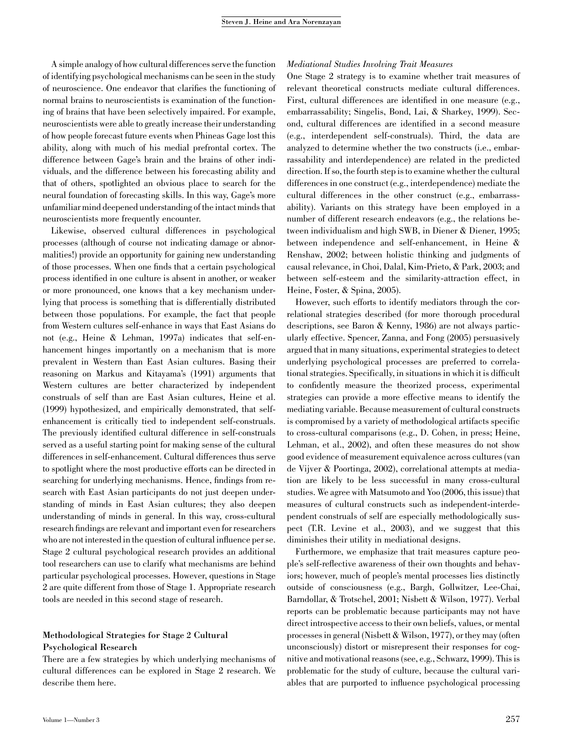A simple analogy of how cultural differences serve the function of identifying psychological mechanisms can be seen in the study of neuroscience. One endeavor that clarifies the functioning of normal brains to neuroscientists is examination of the functioning of brains that have been selectively impaired. For example, neuroscientists were able to greatly increase their understanding of how people forecast future events when Phineas Gage lost this ability, along with much of his medial prefrontal cortex. The difference between Gage's brain and the brains of other individuals, and the difference between his forecasting ability and that of others, spotlighted an obvious place to search for the neural foundation of forecasting skills. In this way, Gage's more unfamiliar mind deepened understanding of the intact minds that neuroscientists more frequently encounter.

Likewise, observed cultural differences in psychological processes (although of course not indicating damage or abnormalities!) provide an opportunity for gaining new understanding of those processes. When one finds that a certain psychological process identified in one culture is absent in another, or weaker or more pronounced, one knows that a key mechanism underlying that process is something that is differentially distributed between those populations. For example, the fact that people from Western cultures self-enhance in ways that East Asians do not (e.g., Heine & Lehman, 1997a) indicates that self-enhancement hinges importantly on a mechanism that is more prevalent in Western than East Asian cultures. Basing their reasoning on Markus and Kitayama's (1991) arguments that Western cultures are better characterized by independent construals of self than are East Asian cultures, Heine et al. (1999) hypothesized, and empirically demonstrated, that selfenhancement is critically tied to independent self-construals. The previously identified cultural difference in self-construals served as a useful starting point for making sense of the cultural differences in self-enhancement. Cultural differences thus serve to spotlight where the most productive efforts can be directed in searching for underlying mechanisms. Hence, findings from research with East Asian participants do not just deepen understanding of minds in East Asian cultures; they also deepen understanding of minds in general. In this way, cross-cultural research findings are relevant and important even for researchers who are not interested in the question of cultural influence per se. Stage 2 cultural psychological research provides an additional tool researchers can use to clarify what mechanisms are behind particular psychological processes. However, questions in Stage 2 are quite different from those of Stage 1. Appropriate research tools are needed in this second stage of research.

## Methodological Strategies for Stage 2 Cultural Psychological Research

There are a few strategies by which underlying mechanisms of cultural differences can be explored in Stage 2 research. We describe them here.

#### Mediational Studies Involving Trait Measures

One Stage 2 strategy is to examine whether trait measures of relevant theoretical constructs mediate cultural differences. First, cultural differences are identified in one measure (e.g., embarrassability; Singelis, Bond, Lai, & Sharkey, 1999). Second, cultural differences are identified in a second measure (e.g., interdependent self-construals). Third, the data are analyzed to determine whether the two constructs (i.e., embarrassability and interdependence) are related in the predicted direction. If so, the fourth step is to examine whether the cultural differences in one construct (e.g., interdependence) mediate the cultural differences in the other construct (e.g., embarrassability). Variants on this strategy have been employed in a number of different research endeavors (e.g., the relations between individualism and high SWB, in Diener & Diener, 1995; between independence and self-enhancement, in Heine & Renshaw, 2002; between holistic thinking and judgments of causal relevance, in Choi, Dalal, Kim-Prieto, & Park, 2003; and between self-esteem and the similarity-attraction effect, in Heine, Foster, & Spina, 2005).

However, such efforts to identify mediators through the correlational strategies described (for more thorough procedural descriptions, see Baron & Kenny, 1986) are not always particularly effective. Spencer, Zanna, and Fong (2005) persuasively argued that in many situations, experimental strategies to detect underlying psychological processes are preferred to correlational strategies. Specifically, in situations in which it is difficult to confidently measure the theorized process, experimental strategies can provide a more effective means to identify the mediating variable. Because measurement of cultural constructs is compromised by a variety of methodological artifacts specific to cross-cultural comparisons (e.g., D. Cohen, in press; Heine, Lehman, et al., 2002), and often these measures do not show good evidence of measurement equivalence across cultures (van de Vijver & Poortinga, 2002), correlational attempts at mediation are likely to be less successful in many cross-cultural studies. We agree with Matsumoto and Yoo (2006, this issue) that measures of cultural constructs such as independent-interdependent construals of self are especially methodologically suspect (T.R. Levine et al., 2003), and we suggest that this diminishes their utility in mediational designs.

Furthermore, we emphasize that trait measures capture people's self-reflective awareness of their own thoughts and behaviors; however, much of people's mental processes lies distinctly outside of consciousness (e.g., Bargh, Gollwitzer, Lee-Chai, Barndollar, & Trotschel, 2001; Nisbett & Wilson, 1977). Verbal reports can be problematic because participants may not have direct introspective access to their own beliefs, values, or mental processes in general (Nisbett & Wilson, 1977), or they may (often unconsciously) distort or misrepresent their responses for cognitive and motivational reasons (see, e.g., Schwarz, 1999). This is problematic for the study of culture, because the cultural variables that are purported to influence psychological processing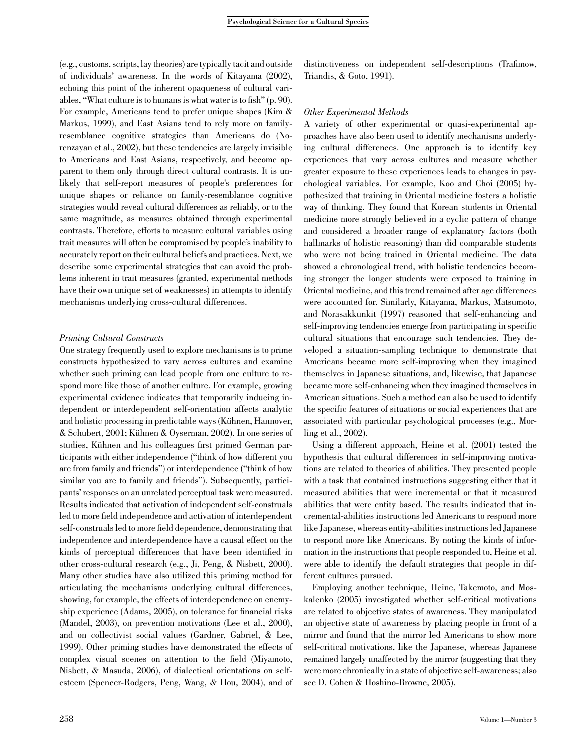(e.g., customs, scripts, lay theories) are typically tacit and outside of individuals' awareness. In the words of Kitayama (2002), echoing this point of the inherent opaqueness of cultural variables, ''What culture is to humans is what water is to fish'' (p. 90). For example, Americans tend to prefer unique shapes (Kim & Markus, 1999), and East Asians tend to rely more on familyresemblance cognitive strategies than Americans do (Norenzayan et al., 2002), but these tendencies are largely invisible to Americans and East Asians, respectively, and become apparent to them only through direct cultural contrasts. It is unlikely that self-report measures of people's preferences for unique shapes or reliance on family-resemblance cognitive strategies would reveal cultural differences as reliably, or to the same magnitude, as measures obtained through experimental contrasts. Therefore, efforts to measure cultural variables using trait measures will often be compromised by people's inability to accurately report on their cultural beliefs and practices. Next, we describe some experimental strategies that can avoid the problems inherent in trait measures (granted, experimental methods have their own unique set of weaknesses) in attempts to identify mechanisms underlying cross-cultural differences.

#### Priming Cultural Constructs

One strategy frequently used to explore mechanisms is to prime constructs hypothesized to vary across cultures and examine whether such priming can lead people from one culture to respond more like those of another culture. For example, growing experimental evidence indicates that temporarily inducing independent or interdependent self-orientation affects analytic and holistic processing in predictable ways (Kühnen, Hannover, & Schubert, 2001; Kühnen & Oyserman, 2002). In one series of studies, Kühnen and his colleagues first primed German participants with either independence (''think of how different you are from family and friends'') or interdependence (''think of how similar you are to family and friends''). Subsequently, participants' responses on an unrelated perceptual task were measured. Results indicated that activation of independent self-construals led to more field independence and activation of interdependent self-construals led to more field dependence, demonstrating that independence and interdependence have a causal effect on the kinds of perceptual differences that have been identified in other cross-cultural research (e.g., Ji, Peng, & Nisbett, 2000). Many other studies have also utilized this priming method for articulating the mechanisms underlying cultural differences, showing, for example, the effects of interdependence on enemyship experience (Adams, 2005), on tolerance for financial risks (Mandel, 2003), on prevention motivations (Lee et al., 2000), and on collectivist social values (Gardner, Gabriel, & Lee, 1999). Other priming studies have demonstrated the effects of complex visual scenes on attention to the field (Miyamoto, Nisbett, & Masuda, 2006), of dialectical orientations on selfesteem (Spencer-Rodgers, Peng, Wang, & Hou, 2004), and of

distinctiveness on independent self-descriptions (Trafimow, Triandis, & Goto, 1991).

#### Other Experimental Methods

A variety of other experimental or quasi-experimental approaches have also been used to identify mechanisms underlying cultural differences. One approach is to identify key experiences that vary across cultures and measure whether greater exposure to these experiences leads to changes in psychological variables. For example, Koo and Choi (2005) hypothesized that training in Oriental medicine fosters a holistic way of thinking. They found that Korean students in Oriental medicine more strongly believed in a cyclic pattern of change and considered a broader range of explanatory factors (both hallmarks of holistic reasoning) than did comparable students who were not being trained in Oriental medicine. The data showed a chronological trend, with holistic tendencies becoming stronger the longer students were exposed to training in Oriental medicine, and this trend remained after age differences were accounted for. Similarly, Kitayama, Markus, Matsumoto, and Norasakkunkit (1997) reasoned that self-enhancing and self-improving tendencies emerge from participating in specific cultural situations that encourage such tendencies. They developed a situation-sampling technique to demonstrate that Americans became more self-improving when they imagined themselves in Japanese situations, and, likewise, that Japanese became more self-enhancing when they imagined themselves in American situations. Such a method can also be used to identify the specific features of situations or social experiences that are associated with particular psychological processes (e.g., Morling et al., 2002).

Using a different approach, Heine et al. (2001) tested the hypothesis that cultural differences in self-improving motivations are related to theories of abilities. They presented people with a task that contained instructions suggesting either that it measured abilities that were incremental or that it measured abilities that were entity based. The results indicated that incremental-abilities instructions led Americans to respond more like Japanese, whereas entity-abilities instructions led Japanese to respond more like Americans. By noting the kinds of information in the instructions that people responded to, Heine et al. were able to identify the default strategies that people in different cultures pursued.

Employing another technique, Heine, Takemoto, and Moskalenko (2005) investigated whether self-critical motivations are related to objective states of awareness. They manipulated an objective state of awareness by placing people in front of a mirror and found that the mirror led Americans to show more self-critical motivations, like the Japanese, whereas Japanese remained largely unaffected by the mirror (suggesting that they were more chronically in a state of objective self-awareness; also see D. Cohen & Hoshino-Browne, 2005).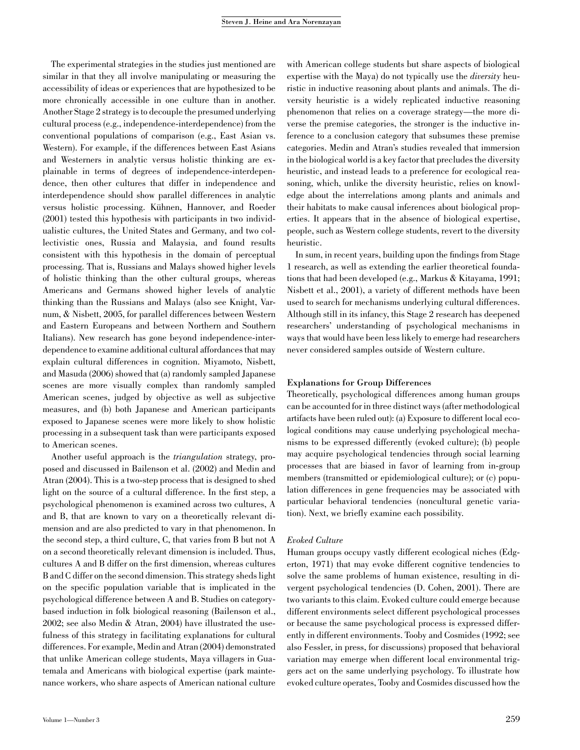The experimental strategies in the studies just mentioned are similar in that they all involve manipulating or measuring the accessibility of ideas or experiences that are hypothesized to be more chronically accessible in one culture than in another. Another Stage 2 strategy is to decouple the presumed underlying cultural process (e.g., independence-interdependence) from the conventional populations of comparison (e.g., East Asian vs. Western). For example, if the differences between East Asians and Westerners in analytic versus holistic thinking are explainable in terms of degrees of independence-interdependence, then other cultures that differ in independence and interdependence should show parallel differences in analytic versus holistic processing. Kühnen, Hannover, and Roeder (2001) tested this hypothesis with participants in two individualistic cultures, the United States and Germany, and two collectivistic ones, Russia and Malaysia, and found results consistent with this hypothesis in the domain of perceptual processing. That is, Russians and Malays showed higher levels of holistic thinking than the other cultural groups, whereas Americans and Germans showed higher levels of analytic thinking than the Russians and Malays (also see Knight, Varnum, & Nisbett, 2005, for parallel differences between Western and Eastern Europeans and between Northern and Southern Italians). New research has gone beyond independence-interdependence to examine additional cultural affordances that may explain cultural differences in cognition. Miyamoto, Nisbett, and Masuda (2006) showed that (a) randomly sampled Japanese scenes are more visually complex than randomly sampled American scenes, judged by objective as well as subjective measures, and (b) both Japanese and American participants exposed to Japanese scenes were more likely to show holistic processing in a subsequent task than were participants exposed to American scenes.

Another useful approach is the triangulation strategy, proposed and discussed in Bailenson et al. (2002) and Medin and Atran (2004). This is a two-step process that is designed to shed light on the source of a cultural difference. In the first step, a psychological phenomenon is examined across two cultures, A and B, that are known to vary on a theoretically relevant dimension and are also predicted to vary in that phenomenon. In the second step, a third culture, C, that varies from B but not A on a second theoretically relevant dimension is included. Thus, cultures A and B differ on the first dimension, whereas cultures B and C differ on the second dimension. This strategy sheds light on the specific population variable that is implicated in the psychological difference between A and B. Studies on categorybased induction in folk biological reasoning (Bailenson et al., 2002; see also Medin & Atran, 2004) have illustrated the usefulness of this strategy in facilitating explanations for cultural differences. For example, Medin and Atran (2004) demonstrated that unlike American college students, Maya villagers in Guatemala and Americans with biological expertise (park maintenance workers, who share aspects of American national culture

with American college students but share aspects of biological expertise with the Maya) do not typically use the diversity heuristic in inductive reasoning about plants and animals. The diversity heuristic is a widely replicated inductive reasoning phenomenon that relies on a coverage strategy—the more diverse the premise categories, the stronger is the inductive inference to a conclusion category that subsumes these premise categories. Medin and Atran's studies revealed that immersion in the biological world is a key factor that precludes the diversity heuristic, and instead leads to a preference for ecological reasoning, which, unlike the diversity heuristic, relies on knowledge about the interrelations among plants and animals and their habitats to make causal inferences about biological properties. It appears that in the absence of biological expertise, people, such as Western college students, revert to the diversity heuristic.

In sum, in recent years, building upon the findings from Stage 1 research, as well as extending the earlier theoretical foundations that had been developed (e.g., Markus & Kitayama, 1991; Nisbett et al., 2001), a variety of different methods have been used to search for mechanisms underlying cultural differences. Although still in its infancy, this Stage 2 research has deepened researchers' understanding of psychological mechanisms in ways that would have been less likely to emerge had researchers never considered samples outside of Western culture.

#### Explanations for Group Differences

Theoretically, psychological differences among human groups can be accounted for in three distinct ways (after methodological artifacts have been ruled out): (a) Exposure to different local ecological conditions may cause underlying psychological mechanisms to be expressed differently (evoked culture); (b) people may acquire psychological tendencies through social learning processes that are biased in favor of learning from in-group members (transmitted or epidemiological culture); or (c) population differences in gene frequencies may be associated with particular behavioral tendencies (noncultural genetic variation). Next, we briefly examine each possibility.

#### Evoked Culture

Human groups occupy vastly different ecological niches (Edgerton, 1971) that may evoke different cognitive tendencies to solve the same problems of human existence, resulting in divergent psychological tendencies (D. Cohen, 2001). There are two variants to this claim. Evoked culture could emerge because different environments select different psychological processes or because the same psychological process is expressed differently in different environments. Tooby and Cosmides (1992; see also Fessler, in press, for discussions) proposed that behavioral variation may emerge when different local environmental triggers act on the same underlying psychology. To illustrate how evoked culture operates, Tooby and Cosmides discussed how the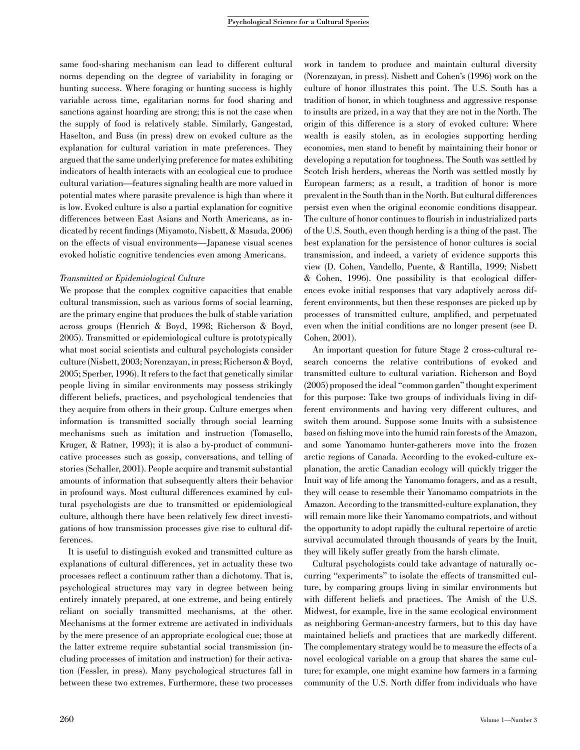same food-sharing mechanism can lead to different cultural norms depending on the degree of variability in foraging or hunting success. Where foraging or hunting success is highly variable across time, egalitarian norms for food sharing and sanctions against hoarding are strong; this is not the case when the supply of food is relatively stable. Similarly, Gangestad, Haselton, and Buss (in press) drew on evoked culture as the explanation for cultural variation in mate preferences. They argued that the same underlying preference for mates exhibiting indicators of health interacts with an ecological cue to produce cultural variation—features signaling health are more valued in potential mates where parasite prevalence is high than where it is low. Evoked culture is also a partial explanation for cognitive differences between East Asians and North Americans, as indicated by recent findings (Miyamoto, Nisbett, & Masuda, 2006) on the effects of visual environments—Japanese visual scenes evoked holistic cognitive tendencies even among Americans.

## Transmitted or Epidemiological Culture

We propose that the complex cognitive capacities that enable cultural transmission, such as various forms of social learning, are the primary engine that produces the bulk of stable variation across groups (Henrich & Boyd, 1998; Richerson & Boyd, 2005). Transmitted or epidemiological culture is prototypically what most social scientists and cultural psychologists consider culture (Nisbett, 2003; Norenzayan, in press; Richerson & Boyd, 2005; Sperber, 1996). It refers to the fact that genetically similar people living in similar environments may possess strikingly different beliefs, practices, and psychological tendencies that they acquire from others in their group. Culture emerges when information is transmitted socially through social learning mechanisms such as imitation and instruction (Tomasello, Kruger, & Ratner, 1993); it is also a by-product of communicative processes such as gossip, conversations, and telling of stories (Schaller, 2001). People acquire and transmit substantial amounts of information that subsequently alters their behavior in profound ways. Most cultural differences examined by cultural psychologists are due to transmitted or epidemiological culture, although there have been relatively few direct investigations of how transmission processes give rise to cultural differences.

It is useful to distinguish evoked and transmitted culture as explanations of cultural differences, yet in actuality these two processes reflect a continuum rather than a dichotomy. That is, psychological structures may vary in degree between being entirely innately prepared, at one extreme, and being entirely reliant on socially transmitted mechanisms, at the other. Mechanisms at the former extreme are activated in individuals by the mere presence of an appropriate ecological cue; those at the latter extreme require substantial social transmission (including processes of imitation and instruction) for their activation (Fessler, in press). Many psychological structures fall in between these two extremes. Furthermore, these two processes

work in tandem to produce and maintain cultural diversity (Norenzayan, in press). Nisbett and Cohen's (1996) work on the culture of honor illustrates this point. The U.S. South has a tradition of honor, in which toughness and aggressive response to insults are prized, in a way that they are not in the North. The origin of this difference is a story of evoked culture: Where wealth is easily stolen, as in ecologies supporting herding economies, men stand to benefit by maintaining their honor or developing a reputation for toughness. The South was settled by Scotch Irish herders, whereas the North was settled mostly by European farmers; as a result, a tradition of honor is more prevalent in the South than in the North. But cultural differences persist even when the original economic conditions disappear. The culture of honor continues to flourish in industrialized parts of the U.S. South, even though herding is a thing of the past. The best explanation for the persistence of honor cultures is social transmission, and indeed, a variety of evidence supports this view (D. Cohen, Vandello, Puente, & Rantilla, 1999; Nisbett & Cohen, 1996). One possibility is that ecological differences evoke initial responses that vary adaptively across different environments, but then these responses are picked up by processes of transmitted culture, amplified, and perpetuated even when the initial conditions are no longer present (see D. Cohen, 2001).

An important question for future Stage 2 cross-cultural research concerns the relative contributions of evoked and transmitted culture to cultural variation. Richerson and Boyd (2005) proposed the ideal ''common garden'' thought experiment for this purpose: Take two groups of individuals living in different environments and having very different cultures, and switch them around. Suppose some Inuits with a subsistence based on fishing move into the humid rain forests of the Amazon, and some Yanomamo hunter-gatherers move into the frozen arctic regions of Canada. According to the evoked-culture explanation, the arctic Canadian ecology will quickly trigger the Inuit way of life among the Yanomamo foragers, and as a result, they will cease to resemble their Yanomamo compatriots in the Amazon. According to the transmitted-culture explanation, they will remain more like their Yanomamo compatriots, and without the opportunity to adopt rapidly the cultural repertoire of arctic survival accumulated through thousands of years by the Inuit, they will likely suffer greatly from the harsh climate.

Cultural psychologists could take advantage of naturally occurring ''experiments'' to isolate the effects of transmitted culture, by comparing groups living in similar environments but with different beliefs and practices. The Amish of the U.S. Midwest, for example, live in the same ecological environment as neighboring German-ancestry farmers, but to this day have maintained beliefs and practices that are markedly different. The complementary strategy would be to measure the effects of a novel ecological variable on a group that shares the same culture; for example, one might examine how farmers in a farming community of the U.S. North differ from individuals who have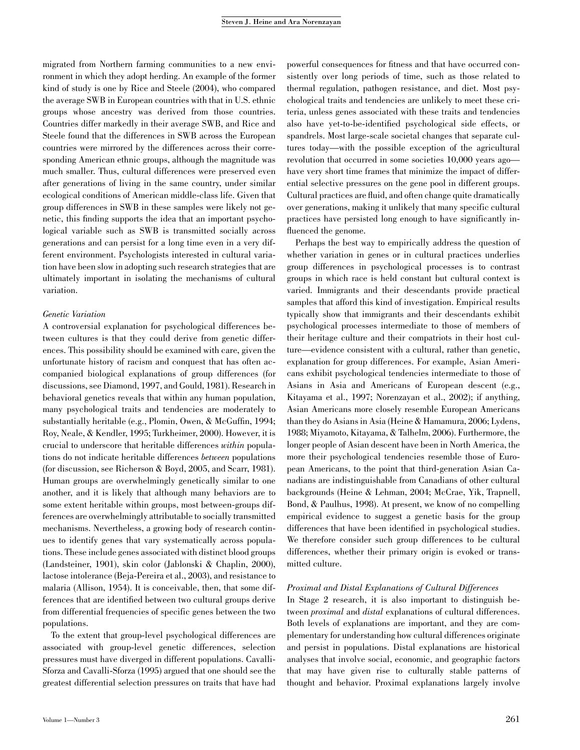migrated from Northern farming communities to a new environment in which they adopt herding. An example of the former kind of study is one by Rice and Steele (2004), who compared the average SWB in European countries with that in U.S. ethnic groups whose ancestry was derived from those countries. Countries differ markedly in their average SWB, and Rice and Steele found that the differences in SWB across the European countries were mirrored by the differences across their corresponding American ethnic groups, although the magnitude was much smaller. Thus, cultural differences were preserved even after generations of living in the same country, under similar ecological conditions of American middle-class life. Given that group differences in SWB in these samples were likely not genetic, this finding supports the idea that an important psychological variable such as SWB is transmitted socially across generations and can persist for a long time even in a very different environment. Psychologists interested in cultural variation have been slow in adopting such research strategies that are ultimately important in isolating the mechanisms of cultural variation.

#### Genetic Variation

A controversial explanation for psychological differences between cultures is that they could derive from genetic differences. This possibility should be examined with care, given the unfortunate history of racism and conquest that has often accompanied biological explanations of group differences (for discussions, see Diamond, 1997, and Gould, 1981). Research in behavioral genetics reveals that within any human population, many psychological traits and tendencies are moderately to substantially heritable (e.g., Plomin, Owen, & McGuffin, 1994; Roy, Neale, & Kendler, 1995; Turkheimer, 2000). However, it is crucial to underscore that heritable differences within populations do not indicate heritable differences between populations (for discussion, see Richerson & Boyd, 2005, and Scarr, 1981). Human groups are overwhelmingly genetically similar to one another, and it is likely that although many behaviors are to some extent heritable within groups, most between-groups differences are overwhelmingly attributable to socially transmitted mechanisms. Nevertheless, a growing body of research continues to identify genes that vary systematically across populations. These include genes associated with distinct blood groups (Landsteiner, 1901), skin color (Jablonski & Chaplin, 2000), lactose intolerance (Beja-Pereira et al., 2003), and resistance to malaria (Allison, 1954). It is conceivable, then, that some differences that are identified between two cultural groups derive from differential frequencies of specific genes between the two populations.

To the extent that group-level psychological differences are associated with group-level genetic differences, selection pressures must have diverged in different populations. Cavalli-Sforza and Cavalli-Sforza (1995) argued that one should see the greatest differential selection pressures on traits that have had

powerful consequences for fitness and that have occurred consistently over long periods of time, such as those related to thermal regulation, pathogen resistance, and diet. Most psychological traits and tendencies are unlikely to meet these criteria, unless genes associated with these traits and tendencies also have yet-to-be-identified psychological side effects, or spandrels. Most large-scale societal changes that separate cultures today—with the possible exception of the agricultural revolution that occurred in some societies 10,000 years ago have very short time frames that minimize the impact of differential selective pressures on the gene pool in different groups. Cultural practices are fluid, and often change quite dramatically over generations, making it unlikely that many specific cultural practices have persisted long enough to have significantly influenced the genome.

Perhaps the best way to empirically address the question of whether variation in genes or in cultural practices underlies group differences in psychological processes is to contrast groups in which race is held constant but cultural context is varied. Immigrants and their descendants provide practical samples that afford this kind of investigation. Empirical results typically show that immigrants and their descendants exhibit psychological processes intermediate to those of members of their heritage culture and their compatriots in their host culture—evidence consistent with a cultural, rather than genetic, explanation for group differences. For example, Asian Americans exhibit psychological tendencies intermediate to those of Asians in Asia and Americans of European descent (e.g., Kitayama et al., 1997; Norenzayan et al., 2002); if anything, Asian Americans more closely resemble European Americans than they do Asians in Asia (Heine & Hamamura, 2006; Lydens, 1988; Miyamoto, Kitayama, & Talhelm, 2006). Furthermore, the longer people of Asian descent have been in North America, the more their psychological tendencies resemble those of European Americans, to the point that third-generation Asian Canadians are indistinguishable from Canadians of other cultural backgrounds (Heine & Lehman, 2004; McCrae, Yik, Trapnell, Bond, & Paulhus, 1998). At present, we know of no compelling empirical evidence to suggest a genetic basis for the group differences that have been identified in psychological studies. We therefore consider such group differences to be cultural differences, whether their primary origin is evoked or transmitted culture.

#### Proximal and Distal Explanations of Cultural Differences

In Stage 2 research, it is also important to distinguish between proximal and distal explanations of cultural differences. Both levels of explanations are important, and they are complementary for understanding how cultural differences originate and persist in populations. Distal explanations are historical analyses that involve social, economic, and geographic factors that may have given rise to culturally stable patterns of thought and behavior. Proximal explanations largely involve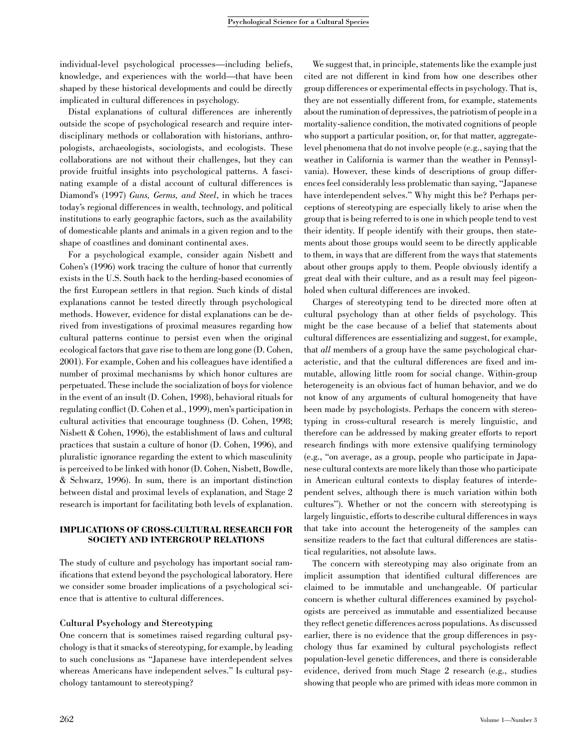individual-level psychological processes—including beliefs, knowledge, and experiences with the world—that have been shaped by these historical developments and could be directly implicated in cultural differences in psychology.

Distal explanations of cultural differences are inherently outside the scope of psychological research and require interdisciplinary methods or collaboration with historians, anthropologists, archaeologists, sociologists, and ecologists. These collaborations are not without their challenges, but they can provide fruitful insights into psychological patterns. A fascinating example of a distal account of cultural differences is Diamond's (1997) Guns, Germs, and Steel, in which he traces today's regional differences in wealth, technology, and political institutions to early geographic factors, such as the availability of domesticable plants and animals in a given region and to the shape of coastlines and dominant continental axes.

For a psychological example, consider again Nisbett and Cohen's (1996) work tracing the culture of honor that currently exists in the U.S. South back to the herding-based economies of the first European settlers in that region. Such kinds of distal explanations cannot be tested directly through psychological methods. However, evidence for distal explanations can be derived from investigations of proximal measures regarding how cultural patterns continue to persist even when the original ecological factors that gave rise to them are long gone (D. Cohen, 2001). For example, Cohen and his colleagues have identified a number of proximal mechanisms by which honor cultures are perpetuated. These include the socialization of boys for violence in the event of an insult (D. Cohen, 1998), behavioral rituals for regulating conflict (D. Cohen et al., 1999), men's participation in cultural activities that encourage toughness (D. Cohen, 1998; Nisbett & Cohen, 1996), the establishment of laws and cultural practices that sustain a culture of honor (D. Cohen, 1996), and pluralistic ignorance regarding the extent to which masculinity is perceived to be linked with honor (D. Cohen, Nisbett, Bowdle, & Schwarz, 1996). In sum, there is an important distinction between distal and proximal levels of explanation, and Stage 2 research is important for facilitating both levels of explanation.

## IMPLICATIONS OF CROSS-CULTURAL RESEARCH FOR SOCIETY AND INTERGROUP RELATIONS

The study of culture and psychology has important social ramifications that extend beyond the psychological laboratory. Here we consider some broader implications of a psychological science that is attentive to cultural differences.

## Cultural Psychology and Stereotyping

One concern that is sometimes raised regarding cultural psychology is that it smacks of stereotyping, for example, by leading to such conclusions as ''Japanese have interdependent selves whereas Americans have independent selves.'' Is cultural psychology tantamount to stereotyping?

We suggest that, in principle, statements like the example just cited are not different in kind from how one describes other group differences or experimental effects in psychology. That is, they are not essentially different from, for example, statements about the rumination of depressives, the patriotism of people in a mortality-salience condition, the motivated cognitions of people who support a particular position, or, for that matter, aggregatelevel phenomena that do not involve people (e.g., saying that the weather in California is warmer than the weather in Pennsylvania). However, these kinds of descriptions of group differences feel considerably less problematic than saying, ''Japanese have interdependent selves.'' Why might this be? Perhaps perceptions of stereotyping are especially likely to arise when the group that is being referred to is one in which people tend to vest their identity. If people identify with their groups, then statements about those groups would seem to be directly applicable to them, in ways that are different from the ways that statements about other groups apply to them. People obviously identify a great deal with their culture, and as a result may feel pigeonholed when cultural differences are invoked.

Charges of stereotyping tend to be directed more often at cultural psychology than at other fields of psychology. This might be the case because of a belief that statements about cultural differences are essentializing and suggest, for example, that *all* members of a group have the same psychological characteristic, and that the cultural differences are fixed and immutable, allowing little room for social change. Within-group heterogeneity is an obvious fact of human behavior, and we do not know of any arguments of cultural homogeneity that have been made by psychologists. Perhaps the concern with stereotyping in cross-cultural research is merely linguistic, and therefore can be addressed by making greater efforts to report research findings with more extensive qualifying terminology (e.g., ''on average, as a group, people who participate in Japanese cultural contexts are more likely than those who participate in American cultural contexts to display features of interdependent selves, although there is much variation within both cultures''). Whether or not the concern with stereotyping is largely linguistic, efforts to describe cultural differences in ways that take into account the heterogeneity of the samples can sensitize readers to the fact that cultural differences are statistical regularities, not absolute laws.

The concern with stereotyping may also originate from an implicit assumption that identified cultural differences are claimed to be immutable and unchangeable. Of particular concern is whether cultural differences examined by psychologists are perceived as immutable and essentialized because they reflect genetic differences across populations. As discussed earlier, there is no evidence that the group differences in psychology thus far examined by cultural psychologists reflect population-level genetic differences, and there is considerable evidence, derived from much Stage 2 research (e.g., studies showing that people who are primed with ideas more common in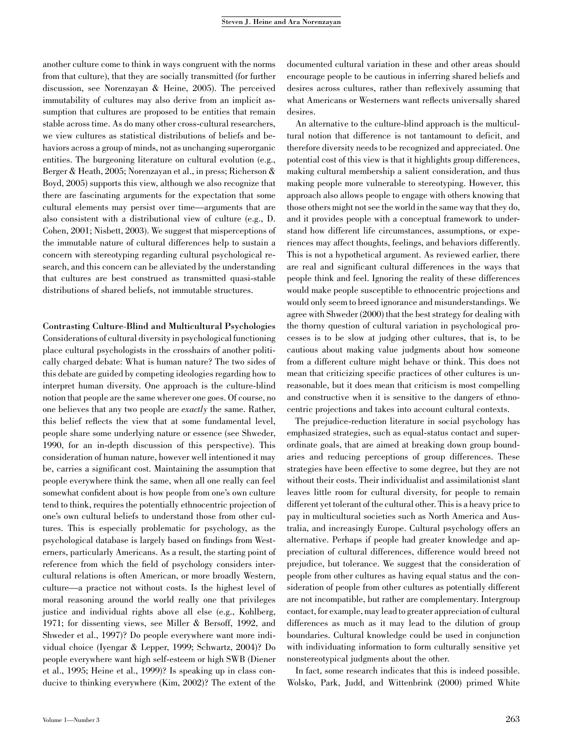another culture come to think in ways congruent with the norms from that culture), that they are socially transmitted (for further discussion, see Norenzayan & Heine, 2005). The perceived immutability of cultures may also derive from an implicit assumption that cultures are proposed to be entities that remain stable across time. As do many other cross-cultural researchers, we view cultures as statistical distributions of beliefs and behaviors across a group of minds, not as unchanging superorganic entities. The burgeoning literature on cultural evolution (e.g., Berger & Heath, 2005; Norenzayan et al., in press; Richerson & Boyd, 2005) supports this view, although we also recognize that there are fascinating arguments for the expectation that some cultural elements may persist over time—arguments that are also consistent with a distributional view of culture (e.g., D. Cohen, 2001; Nisbett, 2003). We suggest that misperceptions of the immutable nature of cultural differences help to sustain a concern with stereotyping regarding cultural psychological research, and this concern can be alleviated by the understanding that cultures are best construed as transmitted quasi-stable distributions of shared beliefs, not immutable structures.

#### Contrasting Culture-Blind and Multicultural Psychologies

Considerations of cultural diversity in psychological functioning place cultural psychologists in the crosshairs of another politically charged debate: What is human nature? The two sides of this debate are guided by competing ideologies regarding how to interpret human diversity. One approach is the culture-blind notion that people are the same wherever one goes. Of course, no one believes that any two people are *exactly* the same. Rather, this belief reflects the view that at some fundamental level, people share some underlying nature or essence (see Shweder, 1990, for an in-depth discussion of this perspective). This consideration of human nature, however well intentioned it may be, carries a significant cost. Maintaining the assumption that people everywhere think the same, when all one really can feel somewhat confident about is how people from one's own culture tend to think, requires the potentially ethnocentric projection of one's own cultural beliefs to understand those from other cultures. This is especially problematic for psychology, as the psychological database is largely based on findings from Westerners, particularly Americans. As a result, the starting point of reference from which the field of psychology considers intercultural relations is often American, or more broadly Western, culture—a practice not without costs. Is the highest level of moral reasoning around the world really one that privileges justice and individual rights above all else (e.g., Kohlberg, 1971; for dissenting views, see Miller & Bersoff, 1992, and Shweder et al., 1997)? Do people everywhere want more individual choice (Iyengar & Lepper, 1999; Schwartz, 2004)? Do people everywhere want high self-esteem or high SWB (Diener et al., 1995; Heine et al., 1999)? Is speaking up in class conducive to thinking everywhere (Kim, 2002)? The extent of the

An alternative to the culture-blind approach is the multicultural notion that difference is not tantamount to deficit, and therefore diversity needs to be recognized and appreciated. One potential cost of this view is that it highlights group differences, making cultural membership a salient consideration, and thus making people more vulnerable to stereotyping. However, this approach also allows people to engage with others knowing that those others might not see the world in the same way that they do, and it provides people with a conceptual framework to understand how different life circumstances, assumptions, or experiences may affect thoughts, feelings, and behaviors differently. This is not a hypothetical argument. As reviewed earlier, there are real and significant cultural differences in the ways that people think and feel. Ignoring the reality of these differences would make people susceptible to ethnocentric projections and would only seem to breed ignorance and misunderstandings. We agree with Shweder (2000) that the best strategy for dealing with the thorny question of cultural variation in psychological processes is to be slow at judging other cultures, that is, to be cautious about making value judgments about how someone from a different culture might behave or think. This does not mean that criticizing specific practices of other cultures is unreasonable, but it does mean that criticism is most compelling and constructive when it is sensitive to the dangers of ethnocentric projections and takes into account cultural contexts.

The prejudice-reduction literature in social psychology has emphasized strategies, such as equal-status contact and superordinate goals, that are aimed at breaking down group boundaries and reducing perceptions of group differences. These strategies have been effective to some degree, but they are not without their costs. Their individualist and assimilationist slant leaves little room for cultural diversity, for people to remain different yet tolerant of the cultural other. This is a heavy price to pay in multicultural societies such as North America and Australia, and increasingly Europe. Cultural psychology offers an alternative. Perhaps if people had greater knowledge and appreciation of cultural differences, difference would breed not prejudice, but tolerance. We suggest that the consideration of people from other cultures as having equal status and the consideration of people from other cultures as potentially different are not incompatible, but rather are complementary. Intergroup contact, for example, may lead to greater appreciation of cultural differences as much as it may lead to the dilution of group boundaries. Cultural knowledge could be used in conjunction with individuating information to form culturally sensitive yet nonstereotypical judgments about the other.

In fact, some research indicates that this is indeed possible. Wolsko, Park, Judd, and Wittenbrink (2000) primed White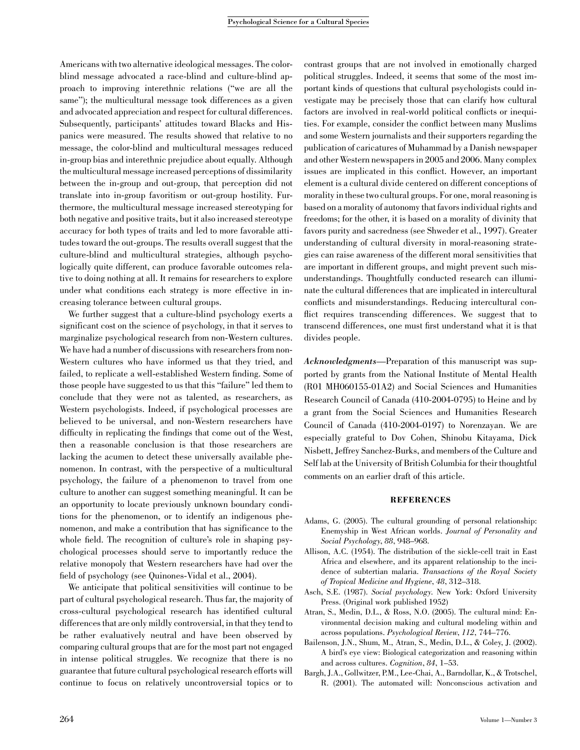Americans with two alternative ideological messages. The colorblind message advocated a race-blind and culture-blind approach to improving interethnic relations (''we are all the same''); the multicultural message took differences as a given and advocated appreciation and respect for cultural differences. Subsequently, participants' attitudes toward Blacks and Hispanics were measured. The results showed that relative to no message, the color-blind and multicultural messages reduced in-group bias and interethnic prejudice about equally. Although the multicultural message increased perceptions of dissimilarity between the in-group and out-group, that perception did not translate into in-group favoritism or out-group hostility. Furthermore, the multicultural message increased stereotyping for both negative and positive traits, but it also increased stereotype accuracy for both types of traits and led to more favorable attitudes toward the out-groups. The results overall suggest that the culture-blind and multicultural strategies, although psychologically quite different, can produce favorable outcomes relative to doing nothing at all. It remains for researchers to explore under what conditions each strategy is more effective in increasing tolerance between cultural groups.

We further suggest that a culture-blind psychology exerts a significant cost on the science of psychology, in that it serves to marginalize psychological research from non-Western cultures. We have had a number of discussions with researchers from non-Western cultures who have informed us that they tried, and failed, to replicate a well-established Western finding. Some of those people have suggested to us that this ''failure'' led them to conclude that they were not as talented, as researchers, as Western psychologists. Indeed, if psychological processes are believed to be universal, and non-Western researchers have difficulty in replicating the findings that come out of the West, then a reasonable conclusion is that those researchers are lacking the acumen to detect these universally available phenomenon. In contrast, with the perspective of a multicultural psychology, the failure of a phenomenon to travel from one culture to another can suggest something meaningful. It can be an opportunity to locate previously unknown boundary conditions for the phenomenon, or to identify an indigenous phenomenon, and make a contribution that has significance to the whole field. The recognition of culture's role in shaping psychological processes should serve to importantly reduce the relative monopoly that Western researchers have had over the field of psychology (see Quinones-Vidal et al., 2004).

We anticipate that political sensitivities will continue to be part of cultural psychological research. Thus far, the majority of cross-cultural psychological research has identified cultural differences that are only mildly controversial, in that they tend to be rather evaluatively neutral and have been observed by comparing cultural groups that are for the most part not engaged in intense political struggles. We recognize that there is no guarantee that future cultural psychological research efforts will continue to focus on relatively uncontroversial topics or to

contrast groups that are not involved in emotionally charged political struggles. Indeed, it seems that some of the most important kinds of questions that cultural psychologists could investigate may be precisely those that can clarify how cultural factors are involved in real-world political conflicts or inequities. For example, consider the conflict between many Muslims and some Western journalists and their supporters regarding the publication of caricatures of Muhammad by a Danish newspaper and other Western newspapers in 2005 and 2006. Many complex issues are implicated in this conflict. However, an important element is a cultural divide centered on different conceptions of morality in these two cultural groups. For one, moral reasoning is based on a morality of autonomy that favors individual rights and freedoms; for the other, it is based on a morality of divinity that favors purity and sacredness (see Shweder et al., 1997). Greater understanding of cultural diversity in moral-reasoning strategies can raise awareness of the different moral sensitivities that are important in different groups, and might prevent such misunderstandings. Thoughtfully conducted research can illuminate the cultural differences that are implicated in intercultural conflicts and misunderstandings. Reducing intercultural conflict requires transcending differences. We suggest that to transcend differences, one must first understand what it is that divides people.

Acknowledgments—Preparation of this manuscript was supported by grants from the National Institute of Mental Health (R01 MH060155-01A2) and Social Sciences and Humanities Research Council of Canada (410-2004-0795) to Heine and by a grant from the Social Sciences and Humanities Research Council of Canada (410-2004-0197) to Norenzayan. We are especially grateful to Dov Cohen, Shinobu Kitayama, Dick Nisbett, Jeffrey Sanchez-Burks, and members of the Culture and Self lab at the University of British Columbia for their thoughtful comments on an earlier draft of this article.

#### **REFERENCES**

- Adams, G. (2005). The cultural grounding of personal relationship: Enemyship in West African worlds. Journal of Personality and Social Psychology, 88, 948–968.
- Allison, A.C. (1954). The distribution of the sickle-cell trait in East Africa and elsewhere, and its apparent relationship to the incidence of subtertian malaria. Transactions of the Royal Society of Tropical Medicine and Hygiene, 48, 312–318.
- Asch, S.E. (1987). Social psychology. New York: Oxford University Press. (Original work published 1952)
- Atran, S., Medin, D.L., & Ross, N.O. (2005). The cultural mind: Environmental decision making and cultural modeling within and across populations. Psychological Review, 112, 744–776.
- Bailenson, J.N., Shum, M., Atran, S., Medin, D.L., & Coley, J. (2002). A bird's eye view: Biological categorization and reasoning within and across cultures. Cognition, 84, 1–53.
- Bargh, J.A., Gollwitzer, P.M., Lee-Chai, A., Barndollar, K., & Trotschel, R. (2001). The automated will: Nonconscious activation and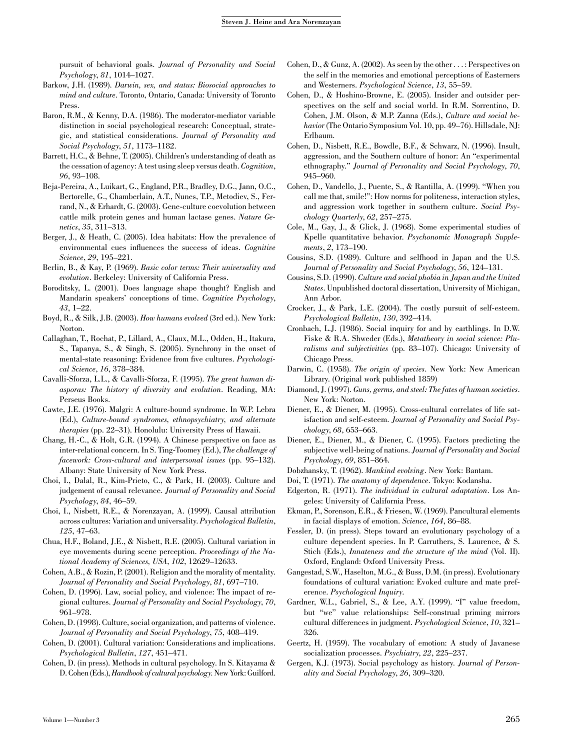pursuit of behavioral goals. Journal of Personality and Social Psychology, 81, 1014–1027.

- Barkow, J.H. (1989). Darwin, sex, and status: Biosocial approaches to mind and culture. Toronto, Ontario, Canada: University of Toronto Press.
- Baron, R.M., & Kenny, D.A. (1986). The moderator-mediator variable distinction in social psychological research: Conceptual, strategic, and statistical considerations. Journal of Personality and Social Psychology, 51, 1173–1182.
- Barrett, H.C., & Behne, T. (2005). Children's understanding of death as the cessation of agency: A test using sleep versus death. Cognition, 96, 93–108.
- Beja-Pereira, A., Luikart, G., England, P.R., Bradley, D.G., Jann, O.C., Bertorelle, G., Chamberlain, A.T., Nunes, T.P., Metodiev, S., Ferrand, N., & Erhardt, G. (2003). Gene-culture coevolution between cattle milk protein genes and human lactase genes. Nature Genetics, 35, 311–313.
- Berger, J., & Heath, C. (2005). Idea habitats: How the prevalence of environmental cues influences the success of ideas. Cognitive Science, 29, 195–221.
- Berlin, B., & Kay, P. (1969). *Basic color terms: Their universality and* evolution. Berkeley: University of California Press.
- Boroditsky, L. (2001). Does language shape thought? English and Mandarin speakers' conceptions of time. Cognitive Psychology, 43, 1–22.
- Boyd, R., & Silk, J.B. (2003). How humans evolved (3rd ed.). New York: Norton.
- Callaghan, T., Rochat, P., Lillard, A., Claux, M.L., Odden, H., Itakura, S., Tapanya, S., & Singh, S. (2005). Synchrony in the onset of mental-state reasoning: Evidence from five cultures. Psychological Science, 16, 378–384.
- Cavalli-Sforza, L.L., & Cavalli-Sforza, F. (1995). The great human diasporas: The history of diversity and evolution. Reading, MA: Perseus Books.
- Cawte, J.E. (1976). Malgri: A culture-bound syndrome. In W.P. Lebra (Ed.), Culture-bound syndromes, ethnopsychiatry, and alternate therapies (pp. 22–31). Honolulu: University Press of Hawaii.
- Chang, H.-C., & Holt, G.R. (1994). A Chinese perspective on face as inter-relational concern. In S. Ting-Toomey (Ed.), The challenge of facework: Cross-cultural and interpersonal issues (pp. 95–132). Albany: State University of New York Press.
- Choi, I., Dalal, R., Kim-Prieto, C., & Park, H. (2003). Culture and judgement of causal relevance. Journal of Personality and Social Psychology, 84, 46–59.
- Choi, I., Nisbett, R.E., & Norenzayan, A. (1999). Causal attribution across cultures: Variation and universality. Psychological Bulletin, 125, 47–63.
- Chua, H.F., Boland, J.E., & Nisbett, R.E. (2005). Cultural variation in eye movements during scene perception. Proceedings of the National Academy of Sciences, USA, 102, 12629–12633.
- Cohen, A.B., & Rozin, P. (2001). Religion and the morality of mentality. Journal of Personality and Social Psychology, 81, 697–710.
- Cohen, D. (1996). Law, social policy, and violence: The impact of regional cultures. Journal of Personality and Social Psychology, 70, 961–978.
- Cohen, D. (1998). Culture, social organization, and patterns of violence. Journal of Personality and Social Psychology, 75, 408–419.
- Cohen, D. (2001). Cultural variation: Considerations and implications. Psychological Bulletin, 127, 451–471.
- Cohen, D. (in press). Methods in cultural psychology. In S. Kitayama & D. Cohen (Eds.), Handbook of cultural psychology. New York: Guilford.
- Cohen, D., & Gunz, A. (2002). As seen by the other . . . : Perspectives on the self in the memories and emotional perceptions of Easterners and Westerners. Psychological Science, 13, 55–59.
- Cohen, D., & Hoshino-Browne, E. (2005). Insider and outsider perspectives on the self and social world. In R.M. Sorrentino, D. Cohen, J.M. Olson, & M.P. Zanna (Eds.), Culture and social behavior (The Ontario Symposium Vol. 10, pp. 49–76). Hillsdale, NJ: Erlbaum.
- Cohen, D., Nisbett, R.E., Bowdle, B.F., & Schwarz, N. (1996). Insult, aggression, and the Southern culture of honor: An ''experimental ethnography.'' Journal of Personality and Social Psychology, 70, 945–960.
- Cohen, D., Vandello, J., Puente, S., & Rantilla, A. (1999). ''When you call me that, smile!'': How norms for politeness, interaction styles, and aggression work together in southern culture. Social Psychology Quarterly, 62, 257–275.
- Cole, M., Gay, J., & Glick, J. (1968). Some experimental studies of Kpelle quantitative behavior. Psychonomic Monograph Supplements, 2, 173–190.
- Cousins, S.D. (1989). Culture and selfhood in Japan and the U.S. Journal of Personality and Social Psychology, 56, 124–131.
- Cousins, S.D. (1990). Culture and social phobia in Japan and the United States. Unpublished doctoral dissertation, University of Michigan, Ann Arbor.
- Crocker, J., & Park, L.E. (2004). The costly pursuit of self-esteem. Psychological Bulletin, 130, 392–414.
- Cronbach, L.J. (1986). Social inquiry for and by earthlings. In D.W. Fiske & R.A. Shweder (Eds.), Metatheory in social science: Pluralisms and subjectivities (pp. 83–107). Chicago: University of Chicago Press.
- Darwin, C. (1958). The origin of species. New York: New American Library. (Original work published 1859)
- Diamond, J. (1997). Guns, germs, and steel: The fates of human societies. New York: Norton.
- Diener, E., & Diener, M. (1995). Cross-cultural correlates of life satisfaction and self-esteem. Journal of Personality and Social Psychology, 68, 653–663.
- Diener, E., Diener, M., & Diener, C. (1995). Factors predicting the subjective well-being of nations. Journal of Personality and Social Psychology, 69, 851–864.
- Dobzhansky, T. (1962). Mankind evolving. New York: Bantam.
- Doi, T. (1971). The anatomy of dependence. Tokyo: Kodansha.
- Edgerton, R. (1971). The individual in cultural adaptation. Los Angeles: University of California Press.
- Ekman, P., Sorenson, E.R., & Friesen, W. (1969). Pancultural elements in facial displays of emotion. Science, 164, 86–88.
- Fessler, D. (in press). Steps toward an evolutionary psychology of a culture dependent species. In P. Carruthers, S. Laurence, & S. Stich (Eds.), Innateness and the structure of the mind (Vol. II). Oxford, England: Oxford University Press.
- Gangestad, S.W., Haselton, M.G., & Buss, D.M. (in press). Evolutionary foundations of cultural variation: Evoked culture and mate preference. Psychological Inquiry.
- Gardner, W.L., Gabriel, S., & Lee, A.Y. (1999). "I" value freedom, but ''we'' value relationships: Self-construal priming mirrors cultural differences in judgment. Psychological Science, 10, 321– 326.
- Geertz, H. (1959). The vocabulary of emotion: A study of Javanese socialization processes. Psychiatry, 22, 225–237.
- Gergen, K.J. (1973). Social psychology as history. Journal of Personality and Social Psychology, 26, 309–320.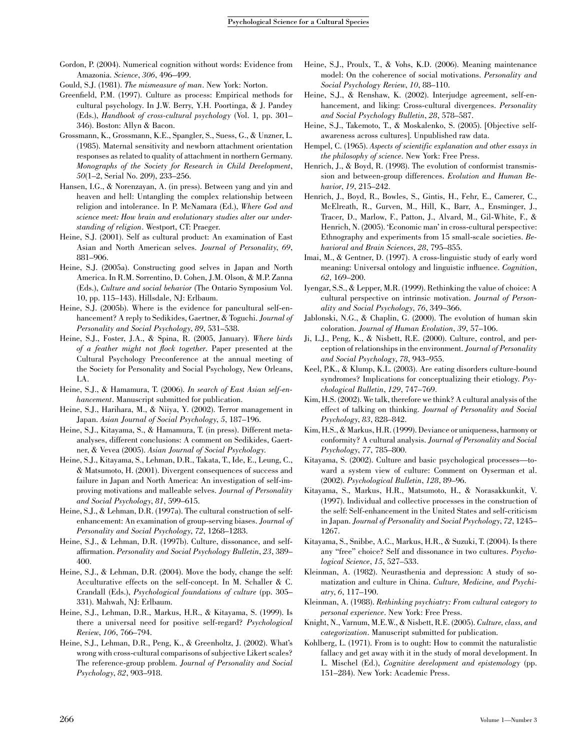Gordon, P. (2004). Numerical cognition without words: Evidence from Amazonia. Science, 306, 496–499.

Gould, S.J. (1981). The mismeasure of man. New York: Norton.

- Greenfield, P.M. (1997). Culture as process: Empirical methods for cultural psychology. In J.W. Berry, Y.H. Poortinga, & J. Pandey (Eds.), Handbook of cross-cultural psychology (Vol. 1, pp. 301– 346). Boston: Allyn & Bacon.
- Grossmann, K., Grossmann, K.E., Spangler, S., Suess, G., & Unzner, L. (1985). Maternal sensitivity and newborn attachment orientation responses as related to quality of attachment in northern Germany. Monographs of the Society for Research in Child Development, 50(1–2, Serial No. 209), 233–256.
- Hansen, I.G., & Norenzayan, A. (in press). Between yang and yin and heaven and hell: Untangling the complex relationship between religion and intolerance. In P. McNamara (Ed.), Where God and science meet: How brain and evolutionary studies alter our understanding of religion. Westport, CT: Praeger.
- Heine, S.J. (2001). Self as cultural product: An examination of East Asian and North American selves. Journal of Personality, 69, 881–906.
- Heine, S.J. (2005a). Constructing good selves in Japan and North America. In R.M. Sorrentino, D. Cohen, J.M. Olson, & M.P. Zanna (Eds.), Culture and social behavior (The Ontario Symposium Vol. 10, pp. 115–143). Hillsdale, NJ: Erlbaum.
- Heine, S.J. (2005b). Where is the evidence for pancultural self-enhancement? A reply to Sedikides, Gaertner, & Toguchi. Journal of Personality and Social Psychology, 89, 531–538.
- Heine, S.J., Foster, J.A., & Spina, R. (2005, January). Where birds of a feather might not flock together. Paper presented at the Cultural Psychology Preconference at the annual meeting of the Society for Personality and Social Psychology, New Orleans, LA.
- Heine, S.J., & Hamamura, T. (2006). In search of East Asian self-enhancement. Manuscript submitted for publication.
- Heine, S.J., Harihara, M., & Niiya, Y. (2002). Terror management in Japan. Asian Journal of Social Psychology, 5, 187–196.
- Heine, S.J., Kitayama, S., & Hamamura, T. (in press). Different metaanalyses, different conclusions: A comment on Sedikides, Gaertner, & Vevea (2005). Asian Journal of Social Psychology.
- Heine, S.J., Kitayama, S., Lehman, D.R., Takata, T., Ide, E., Leung, C., & Matsumoto, H. (2001). Divergent consequences of success and failure in Japan and North America: An investigation of self-improving motivations and malleable selves. Journal of Personality and Social Psychology, 81, 599–615.
- Heine, S.J., & Lehman, D.R. (1997a). The cultural construction of selfenhancement: An examination of group-serving biases. Journal of Personality and Social Psychology, 72, 1268–1283.
- Heine, S.J., & Lehman, D.R. (1997b). Culture, dissonance, and selfaffirmation. Personality and Social Psychology Bulletin, 23, 389– 400.
- Heine, S.J., & Lehman, D.R. (2004). Move the body, change the self: Acculturative effects on the self-concept. In M. Schaller & C. Crandall (Eds.), Psychological foundations of culture (pp. 305– 331). Mahwah, NJ: Erlbaum.
- Heine, S.J., Lehman, D.R., Markus, H.R., & Kitayama, S. (1999). Is there a universal need for positive self-regard? Psychological Review, 106, 766–794.
- Heine, S.J., Lehman, D.R., Peng, K., & Greenholtz, J. (2002). What's wrong with cross-cultural comparisons of subjective Likert scales? The reference-group problem. Journal of Personality and Social Psychology, 82, 903–918.
- Heine, S.J., Proulx, T., & Vohs, K.D. (2006). Meaning maintenance model: On the coherence of social motivations. Personality and Social Psychology Review, 10, 88–110.
- Heine, S.J., & Renshaw, K. (2002). Interjudge agreement, self-enhancement, and liking: Cross-cultural divergences. Personality and Social Psychology Bulletin, 28, 578–587.
- Heine, S.J., Takemoto, T., & Moskalenko, S. (2005). [Objective selfawareness across cultures]. Unpublished raw data.
- Hempel, C. (1965). Aspects of scientific explanation and other essays in the philosophy of science. New York: Free Press.
- Henrich, J., & Boyd, R. (1998). The evolution of conformist transmission and between-group differences. Evolution and Human Behavior, 19, 215–242.
- Henrich, J., Boyd, R., Bowles, S., Gintis, H., Fehr, E., Camerer, C., McElreath, R., Gurven, M., Hill, K., Barr, A., Ensminger, J., Tracer, D., Marlow, F., Patton, J., Alvard, M., Gil-White, F., & Henrich, N. (2005). 'Economic man' in cross-cultural perspective: Ethnography and experiments from 15 small-scale societies. Behavioral and Brain Sciences, 28, 795–855.
- Imai, M., & Gentner, D. (1997). A cross-linguistic study of early word meaning: Universal ontology and linguistic influence. Cognition, 62, 169–200.
- Iyengar, S.S., & Lepper, M.R. (1999). Rethinking the value of choice: A cultural perspective on intrinsic motivation. Journal of Personality and Social Psychology, 76, 349–366.
- Jablonski, N.G., & Chaplin, G. (2000). The evolution of human skin coloration. Journal of Human Evolution, 39, 57–106.
- Ji, L.J., Peng, K., & Nisbett, R.E. (2000). Culture, control, and perception of relationships in the environment. Journal of Personality and Social Psychology, 78, 943–955.
- Keel, P.K., & Klump, K.L. (2003). Are eating disorders culture-bound syndromes? Implications for conceptualizing their etiology. Psychological Bulletin, 129, 747–769.
- Kim, H.S. (2002). We talk, therefore we think? A cultural analysis of the effect of talking on thinking. Journal of Personality and Social Psychology, 83, 828–842.
- Kim, H.S., & Markus, H.R. (1999). Deviance or uniqueness, harmony or conformity? A cultural analysis. Journal of Personality and Social Psychology, 77, 785–800.
- Kitayama, S. (2002). Culture and basic psychological processes—toward a system view of culture: Comment on Oyserman et al. (2002). Psychological Bulletin, 128, 89–96.
- Kitayama, S., Markus, H.R., Matsumoto, H., & Norasakkunkit, V. (1997). Individual and collective processes in the construction of the self: Self-enhancement in the United States and self-criticism in Japan. Journal of Personality and Social Psychology, 72, 1245– 1267.
- Kitayama, S., Snibbe, A.C., Markus, H.R., & Suzuki, T. (2004). Is there any ''free'' choice? Self and dissonance in two cultures. Psychological Science, 15, 527–533.
- Kleinman, A. (1982). Neurasthenia and depression: A study of somatization and culture in China. Culture, Medicine, and Psychiatry, 6, 117–190.
- Kleinman, A. (1988). Rethinking psychiatry: From cultural category to personal experience. New York: Free Press.
- Knight, N., Varnum, M.E.W., & Nisbett, R.E. (2005). Culture, class, and categorization. Manuscript submitted for publication.
- Kohlberg, L. (1971). From is to ought: How to commit the naturalistic fallacy and get away with it in the study of moral development. In L. Mischel (Ed.), Cognitive development and epistemology (pp. 151–284). New York: Academic Press.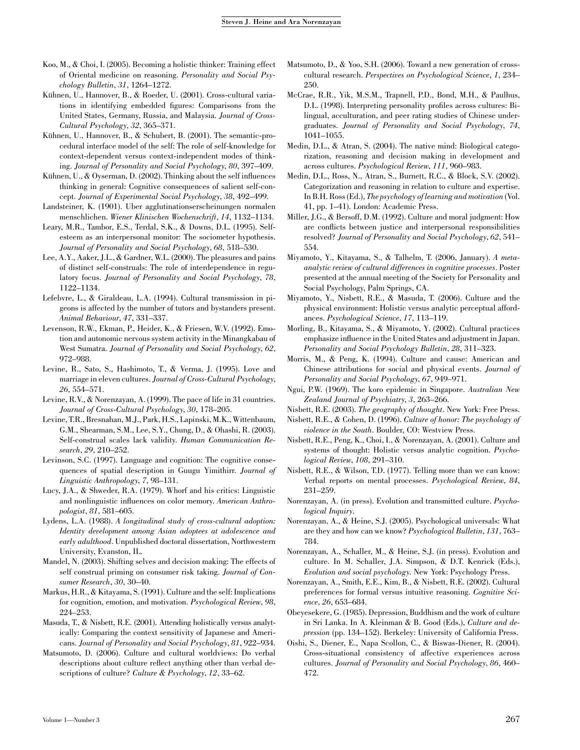- Koo, M., & Choi, I. (2005). Becoming a holistic thinker: Training effect of Oriental medicine on reasoning. Personality and Social Psychology Bulletin, 31, 1264–1272.
- Kühnen, U., Hannover, B., & Roeder, U. (2001). Cross-cultural variations in identifying embedded figures: Comparisons from the United States, Germany, Russia, and Malaysia. Journal of Cross-Cultural Psychology, 32, 365–371.
- Kühnen, U., Hannover, B., & Schubert, B. (2001). The semantic-procedural interface model of the self: The role of self-knowledge for context-dependent versus context-independent modes of thinking. Journal of Personality and Social Psychology, 80, 397–409.
- Kühnen, U., & Oyserman, D. (2002). Thinking about the self influences thinking in general: Cognitive consequences of salient self-concept. Journal of Experimental Social Psychology, 38, 492–499.
- Landsteiner, K. (1901). Uber agglutinationserscheinungen normalen menschlichen. Wiener Klinischen Wochenschrift, 14, 1132–1134.
- Leary, M.R., Tambor, E.S., Terdal, S.K., & Downs, D.L. (1995). Selfesteem as an interpersonal monitor: The sociometer hypothesis. Journal of Personality and Social Psychology, 68, 518–530.
- Lee, A.Y., Aaker, J.L., & Gardner, W.L. (2000). The pleasures and pains of distinct self-construals: The role of interdependence in regulatory focus. Journal of Personality and Social Psychology, 78, 1122–1134.
- Lefebvre, L., & Giraldeau, L.A. (1994). Cultural transmission in pigeons is affected by the number of tutors and bystanders present. Animal Behaviour, 47, 331–337.
- Levenson, R.W., Ekman, P., Heider, K., & Friesen, W.V. (1992). Emotion and autonomic nervous system activity in the Minangkabau of West Sumatra. Journal of Personality and Social Psychology, 62, 972–988.
- Levine, R., Sato, S., Hashimoto, T., & Verma, J. (1995). Love and marriage in eleven cultures. Journal of Cross-Cultural Psychology, 26, 554–571.
- Levine, R.V., & Norenzayan, A. (1999). The pace of life in 31 countries. Journal of Cross-Cultural Psychology, 30, 178–205.
- Levine, T.R., Bresnahan, M.J., Park, H.S., Lapinski, M.K., Wittenbaum, G.M., Shearman, S.M., Lee, S.Y., Chung, D., & Ohashi, R. (2003). Self-construal scales lack validity. Human Communication Research, 29, 210–252.
- Levinson, S.C. (1997). Language and cognition: The cognitive consequences of spatial description in Guugu Yimithirr. Journal of Linguistic Anthropology, 7, 98–131.
- Lucy, J.A., & Shweder, R.A. (1979). Whorf and his critics: Linguistic and nonlinguistic influences on color memory. American Anthropologist, 81, 581–605.
- Lydens, L.A. (1988). A longitudinal study of cross-cultural adoption: Identity development among Asian adoptees at adolescence and early adulthood. Unpublished doctoral dissertation, Northwestern University, Evanston, IL.
- Mandel, N. (2003). Shifting selves and decision making: The effects of self construal priming on consumer risk taking. Journal of Consumer Research, 30, 30–40.
- Markus, H.R., & Kitayama, S. (1991). Culture and the self: Implications for cognition, emotion, and motivation. Psychological Review, 98, 224–253.
- Masuda, T., & Nisbett, R.E. (2001). Attending holistically versus analytically: Comparing the context sensitivity of Japanese and Americans. Journal of Personality and Social Psychology, 81, 922–934.
- Matsumoto, D. (2006). Culture and cultural worldviews: Do verbal descriptions about culture reflect anything other than verbal descriptions of culture? Culture & Psychology, 12, 33–62.
- Matsumoto, D., & Yoo, S.H. (2006). Toward a new generation of crosscultural research. Perspectives on Psychological Science, 1, 234– 250.
- McCrae, R.R., Yik, M.S.M., Trapnell, P.D., Bond, M.H., & Paulhus, D.L. (1998). Interpreting personality profiles across cultures: Bilingual, acculturation, and peer rating studies of Chinese undergraduates. Journal of Personality and Social Psychology, 74, 1041–1055.
- Medin, D.L., & Atran, S. (2004). The native mind: Biological categorization, reasoning and decision making in development and across cultures. Psychological Review, 111, 960–983.
- Medin, D.L., Ross, N., Atran, S., Burnett, R.C., & Block, S.V. (2002). Categorization and reasoning in relation to culture and expertise. In B.H. Ross (Ed.), The psychology of learning and motivation (Vol. 41, pp. 1–41). London: Academic Press.
- Miller, J.G., & Bersoff, D.M. (1992). Culture and moral judgment: How are conflicts between justice and interpersonal responsibilities resolved? Journal of Personality and Social Psychology, 62, 541– 554.
- Miyamoto, Y., Kitayama, S., & Talhelm, T. (2006, January). A metaanalytic review of cultural differences in cognitive processes. Poster presented at the annual meeting of the Society for Personality and Social Psychology, Palm Springs, CA.
- Miyamoto, Y., Nisbett, R.E., & Masuda, T. (2006). Culture and the physical environment: Holistic versus analytic perceptual affordances. Psychological Science, 17, 113–119.
- Morling, B., Kitayama, S., & Miyamoto, Y. (2002). Cultural practices emphasize influence in the United States and adjustment in Japan. Personality and Social Psychology Bulletin, 28, 311–323.
- Morris, M., & Peng, K. (1994). Culture and cause: American and Chinese attributions for social and physical events. Journal of Personality and Social Psychology, 67, 949–971.
- Ngui, P.W. (1969). The koro epidemic in Singapore. Australian New Zealand Journal of Psychiatry, 3, 263–266.
- Nisbett, R.E. (2003). The geography of thought. New York: Free Press.
- Nisbett, R.E., & Cohen, D. (1996). Culture of honor: The psychology of violence in the South. Boulder, CO: Westview Press.
- Nisbett, R.E., Peng, K., Choi, I., & Norenzayan, A. (2001). Culture and systems of thought: Holistic versus analytic cognition. Psychological Review, 108, 291–310.
- Nisbett, R.E., & Wilson, T.D. (1977). Telling more than we can know: Verbal reports on mental processes. Psychological Review, 84, 231–259.
- Norenzayan, A. (in press). Evolution and transmitted culture. Psychological Inquiry.
- Norenzayan, A., & Heine, S.J. (2005). Psychological universals: What are they and how can we know? Psychological Bulletin, 131, 763– 784.
- Norenzayan, A., Schaller, M., & Heine, S.J. (in press). Evolution and culture. In M. Schaller, J.A. Simpson, & D.T. Kenrick (Eds.), Evolution and social psychology. New York: Psychology Press.
- Norenzayan, A., Smith, E.E., Kim, B., & Nisbett, R.E. (2002). Cultural preferences for formal versus intuitive reasoning. Cognitive Science, 26, 653–684.
- Obeyesekere, G. (1985). Depression, Buddhism and the work of culture in Sri Lanka. In A. Kleinman & B. Good (Eds.), Culture and depression (pp. 134–152). Berkeley: University of California Press.
- Oishi, S., Diener, E., Napa Scollon, C., & Biswas-Diener, R. (2004). Cross-situational consistency of affective experiences across cultures. Journal of Personality and Social Psychology, 86, 460– 472.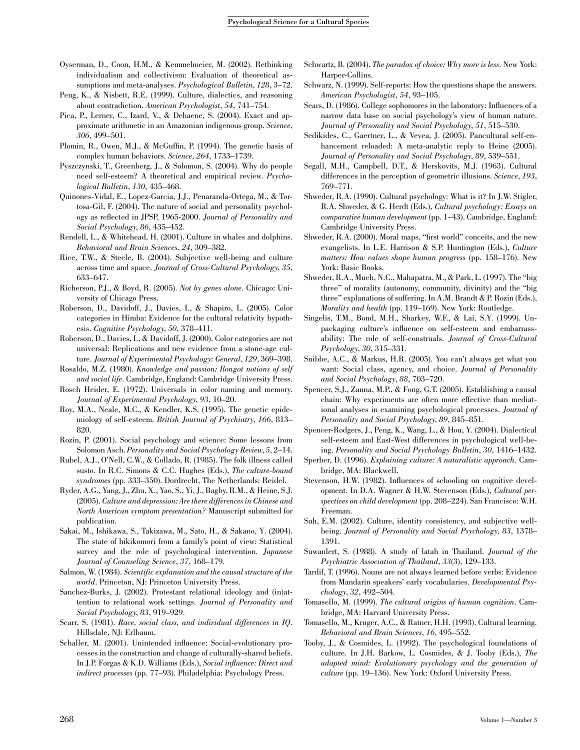- Oyserman, D., Coon, H.M., & Kemmelmeier, M. (2002). Rethinking individualism and collectivism: Evaluation of theoretical assumptions and meta-analyses. Psychological Bulletin, 128, 3–72.
- Peng, K., & Nisbett, R.E. (1999). Culture, dialectics, and reasoning about contradiction. American Psychologist, 54, 741–754.
- Pica, P., Lerner, C., Izard, V., & Dehaene, S. (2004). Exact and approximate arithmetic in an Amazonian indigenous group. Science, 306, 499–501.
- Plomin, R., Owen, M.J., & McGuffin, P. (1994). The genetic basis of complex human behaviors. Science, 264, 1733–1739.
- Pyszczynski, T., Greenberg, J., & Solomon, S. (2004). Why do people need self-esteem? A theoretical and empirical review. Psychological Bulletin, 130, 435–468.
- Quinones-Vidal, E., Lopez-Garcia, J.J., Penaranda-Ortega, M., & Tortosa-Gil, F. (2004). The nature of social and personality psychology as reflected in JPSP, 1965-2000. Journal of Personality and Social Psychology, 86, 435–452.
- Rendell, L., & Whitehead, H. (2001). Culture in whales and dolphins. Behavioral and Brain Sciences, 24, 309–382.
- Rice, T.W., & Steele, B. (2004). Subjective well-being and culture across time and space. Journal of Cross-Cultural Psychology, 35, 633–647.
- Richerson, P.J., & Boyd, R. (2005). Not by genes alone. Chicago: University of Chicago Press.
- Roberson, D., Davidoff, J., Davies, I., & Shapiro, L. (2005). Color categories in Himba: Evidence for the cultural relativity hypothesis. Cognitive Psychology, 50, 378–411.
- Roberson, D., Davies, I., & Davidoff, J. (2000). Color categories are not universal: Replications and new evidence from a stone-age culture. Journal of Experimental Psychology: General, 129, 369–398.
- Rosaldo, M.Z. (1980). Knowledge and passion: Ilongot notions of self and social life. Cambridge, England: Cambridge University Press.
- Rosch Heider, E. (1972). Universals in color naming and memory. Journal of Experimental Psychology, 93, 10–20.
- Roy, M.A., Neale, M.C., & Kendler, K.S. (1995). The genetic epidemiology of self-esteem. British Journal of Psychiatry, 166, 813– 820.
- Rozin, P. (2001). Social psychology and science: Some lessons from Solomon Asch. Personality and Social Psychology Review, 5, 2–14.
- Rubel, A.J., O'Nell, C.W., & Collado, R. (1985). The folk illness called susto. In R.C. Simons & C.C. Hughes (Eds.), The culture-bound syndromes (pp. 333–350). Dordrecht, The Netherlands: Reidel.
- Ryder, A.G., Yang, J., Zhu, X., Yao, S., Yi, J., Bagby, R.M., & Heine, S.J. (2005). Culture and depression: Are there differences in Chinese and North American symptom presentation? Manuscript submitted for publication.
- Sakai, M., Ishikawa, S., Takizawa, M., Sato, H., & Sakano, Y. (2004). The state of hikikomori from a family's point of view: Statistical survey and the role of psychological intervention. *Japanese* Journal of Counseling Science, 37, 168–179.
- Salmon, W. (1984). Scientific explanation and the causal structure of the world. Princeton, NJ: Princeton University Press.
- Sanchez-Burks, J. (2002). Protestant relational ideology and (in)attention to relational work settings. Journal of Personality and Social Psychology, 83, 919–929.
- Scarr, S. (1981). Race, social class, and individual differences in IQ. Hillsdale, NJ: Erlbaum.
- Schaller, M. (2001). Unintended influence: Social-evolutionary processes in the construction and change of culturally-shared beliefs. In J.P. Forgas & K.D. Williams (Eds.), Social influence: Direct and indirect processes (pp. 77–93). Philadelphia: Psychology Press.
- Schwartz, B. (2004). The paradox of choice: Why more is less. New York: Harper-Collins.
- Schwarz, N. (1999). Self-reports: How the questions shape the answers. American Psychologist, 54, 93–105.
- Sears, D. (1986). College sophomores in the laboratory: Influences of a narrow data base on social psychology's view of human nature. Journal of Personality and Social Psychology, 51, 515–530.
- Sedikides, C., Gaertner, L., & Vevea, J. (2005). Pancultural self-enhancement reloaded: A meta-analytic reply to Heine (2005). Journal of Personality and Social Psychology, 89, 539–551.
- Segall, M.H., Campbell, D.T., & Herskovits, M.J. (1963). Cultural differences in the perception of geometric illusions. Science, 193, 769–771.
- Shweder, R.A. (1990). Cultural psychology: What is it? In J.W. Stigler, R.A. Shweder, & G. Herdt (Eds.), Cultural psychology: Essays on comparative human development (pp. 1–43). Cambridge, England: Cambridge University Press.
- Shweder, R.A. (2000). Moral maps, "first world" conceits, and the new evangelists. In L.E. Harrison & S.P. Huntington (Eds.), Culture matters: How values shape human progress (pp. 158–176). New York: Basic Books.
- Shweder, R.A., Much, N.C., Mahapatra, M., & Park, L. (1997). The ''big three'' of morality (autonomy, community, divinity) and the ''big three'' explanations of suffering. In A.M. Brandt & P. Rozin (Eds.), Morality and health (pp. 119–169). New York: Routledge.
- Singelis, T.M., Bond, M.H., Sharkey, W.F., & Lai, S.Y. (1999). Unpackaging culture's influence on self-esteem and embarrassability: The role of self-construals. Journal of Cross-Cultural Psychology, 30, 315–331.
- Snibbe, A.C., & Markus, H.R. (2005). You can't always get what you want: Social class, agency, and choice. Journal of Personality and Social Psychology, 88, 703–720.
- Spencer, S.J., Zanna, M.P., & Fong, G.T. (2005). Establishing a causal chain: Why experiments are often more effective than mediational analyses in examining psychological processes. Journal of Personality and Social Psychology, 89, 845–851.
- Spencer-Rodgers, J., Peng, K., Wang, L., & Hou, Y. (2004). Dialectical self-esteem and East-West differences in psychological well-being. Personality and Social Psychology Bulletin, 30, 1416–1432.
- Sperber, D. (1996). Explaining culture: A naturalistic approach. Cambridge, MA: Blackwell.
- Stevenson, H.W. (1982). Influences of schooling on cognitive development. In D.A. Wagner & H.W. Stevenson (Eds.), Cultural perspectives on child development (pp. 208–224). San Francisco: W.H. Freeman.
- Suh, E.M. (2002). Culture, identity consistency, and subjective wellbeing. Journal of Personality and Social Psychology, 83, 1378– 1391.
- Suwanlert, S. (1988). A study of latah in Thailand. Journal of the Psychiatric Association of Thailand, 33(3), 129–133.
- Tardif, T. (1996). Nouns are not always learned before verbs: Evidence from Mandarin speakers' early vocabularies. Developmental Psychology, 32, 492–504.
- Tomasello, M. (1999). The cultural origins of human cognition. Cambridge, MA: Harvard University Press.
- Tomasello, M., Kruger, A.C., & Ratner, H.H. (1993). Cultural learning. Behavioral and Brain Sciences, 16, 495–552.
- Tooby, J., & Cosmides, L. (1992). The psychological foundations of culture. In J.H. Barkow, L. Cosmides, & J. Tooby (Eds.), The adapted mind: Evolutionary psychology and the generation of culture (pp. 19–136). New York: Oxford University Press.